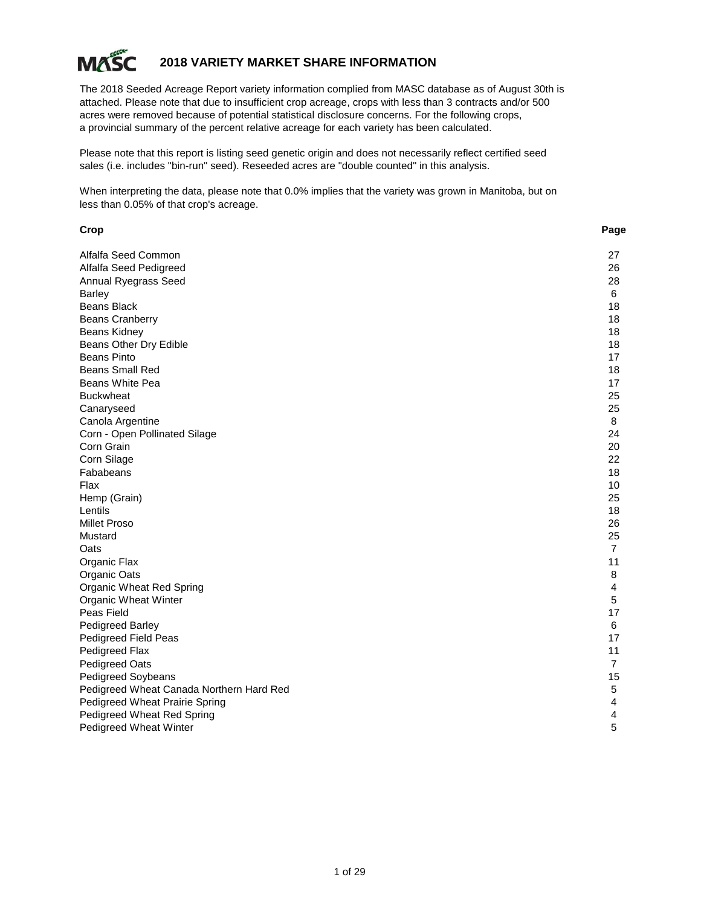

# **2018 VARIETY MARKET SHARE INFORMATION**

The 2018 Seeded Acreage Report variety information complied from MASC database as of August 30th is attached. Please note that due to insufficient crop acreage, crops with less than 3 contracts and/or 500 acres were removed because of potential statistical disclosure concerns. For the following crops, a provincial summary of the percent relative acreage for each variety has been calculated.

Please note that this report is listing seed genetic origin and does not necessarily reflect certified seed sales (i.e. includes "bin-run" seed). Reseeded acres are "double counted" in this analysis.

When interpreting the data, please note that 0.0% implies that the variety was grown in Manitoba, but on less than 0.05% of that crop's acreage.

| Crop                                     | Page           |
|------------------------------------------|----------------|
| Alfalfa Seed Common                      | 27             |
| Alfalfa Seed Pedigreed                   | 26             |
| Annual Ryegrass Seed                     | 28             |
| <b>Barley</b>                            | 6              |
| <b>Beans Black</b>                       | 18             |
| <b>Beans Cranberry</b>                   | 18             |
| Beans Kidney                             | 18             |
| Beans Other Dry Edible                   | 18             |
| <b>Beans Pinto</b>                       | 17             |
| <b>Beans Small Red</b>                   | 18             |
| Beans White Pea                          | 17             |
| <b>Buckwheat</b>                         | 25             |
| Canaryseed                               | 25             |
| Canola Argentine                         | 8              |
| Corn - Open Pollinated Silage            | 24             |
| Corn Grain                               | 20             |
| Corn Silage                              | 22             |
| Fababeans                                | 18             |
| Flax                                     | 10             |
| Hemp (Grain)                             | 25             |
| Lentils                                  | 18             |
| <b>Millet Proso</b>                      | 26             |
| Mustard                                  | 25             |
| Oats                                     | $\overline{7}$ |
| Organic Flax                             | 11             |
| Organic Oats                             | 8              |
| Organic Wheat Red Spring                 | 4              |
| Organic Wheat Winter                     | 5              |
| Peas Field                               | 17             |
| <b>Pedigreed Barley</b>                  | 6              |
| Pedigreed Field Peas                     | 17             |
| Pedigreed Flax                           | 11             |
| <b>Pedigreed Oats</b>                    | 7              |
| Pedigreed Soybeans                       | 15             |
| Pedigreed Wheat Canada Northern Hard Red | 5              |
| <b>Pedigreed Wheat Prairie Spring</b>    | 4              |
| Pedigreed Wheat Red Spring               | 4              |
| Pedigreed Wheat Winter                   | 5              |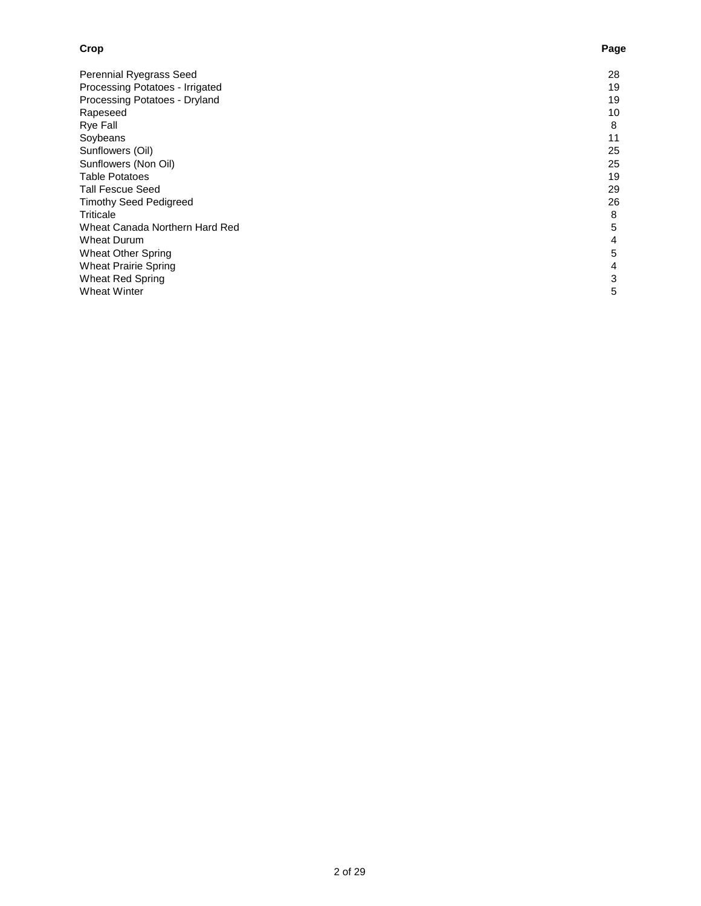# Perennial Ryegrass Seed 28 Processing Potatoes - Irrigated 19 Processing Potatoes - Dryland 19 Rapeseed 10 Rye Fall 8 Soybeans 11 Sunflowers (Oil) 25<br>
Sunflowers (Non Oil) 25 Sunflowers (Non Oil) 25<br>
Table Potatoes 25 Table Potatoes 19<br>
Tall Fescue Seed 29 Tall Fescue Seed 29<br>
Timothy Seed Pedigreed 26 Timothy Seed Pedigreed 26 Triticale 8 Wheat Canada Northern Hard Red 55<br>
Wheat Durum 5<br>
4 Wheat Durum 4<br>Wheat Other Spring 5 Wheat Other Spring Wheat Prairie Spring 4<br>
Wheat Red Spring 3 Wheat Red Spring 3<br>Wheat Winter 5 Wheat Winter

#### **Crop Page**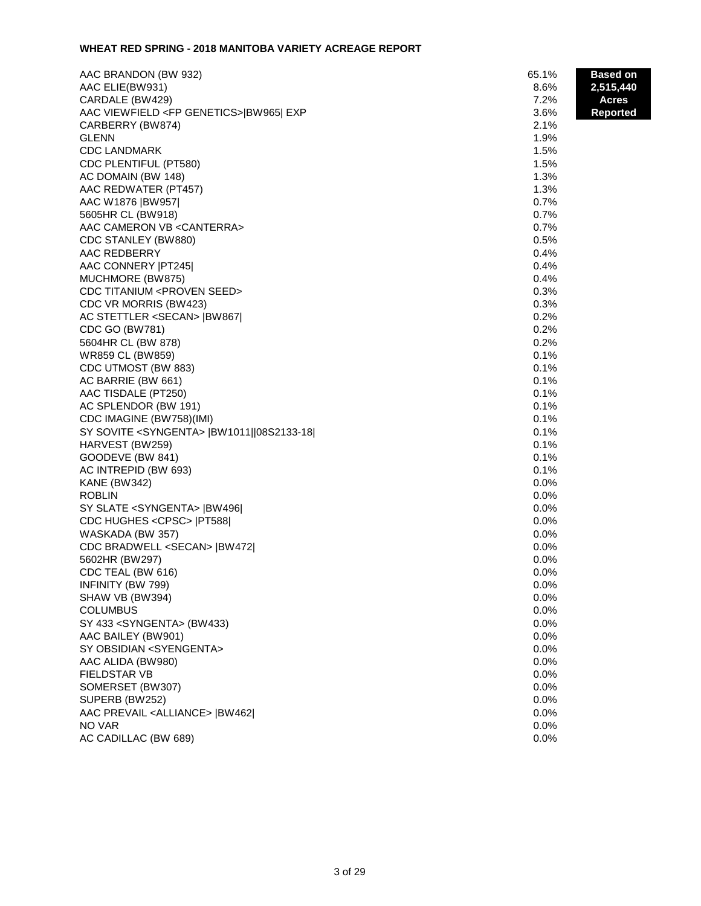## **WHEAT RED SPRING - 2018 MANITOBA VARIETY ACREAGE REPORT**

| AAC BRANDON (BW 932)                                 | 65.1%        | <b>Based on</b> |
|------------------------------------------------------|--------------|-----------------|
| AAC ELIE(BW931)                                      | 8.6%         | 2,515,440       |
| CARDALE (BW429)                                      | 7.2%         | Acres           |
| AAC VIEWFIELD <fp genetics=""> BW965  EXP</fp>       | 3.6%         | <b>Reported</b> |
| CARBERRY (BW874)                                     | 2.1%         |                 |
| <b>GLENN</b>                                         | 1.9%         |                 |
| <b>CDC LANDMARK</b>                                  | 1.5%         |                 |
| CDC PLENTIFUL (PT580)                                | 1.5%         |                 |
| AC DOMAIN (BW 148)                                   | 1.3%         |                 |
| AAC REDWATER (PT457)                                 | 1.3%         |                 |
| AAC W1876  BW957                                     | 0.7%         |                 |
| 5605HR CL (BW918)                                    | 0.7%         |                 |
| AAC CAMERON VB < CANTERRA>                           | 0.7%         |                 |
| CDC STANLEY (BW880)                                  | 0.5%         |                 |
| AAC REDBERRY                                         | 0.4%         |                 |
| AAC CONNERY   PT245                                  | 0.4%         |                 |
| MUCHMORE (BW875)                                     | 0.4%         |                 |
| <b>CDC TITANIUM <proven seed=""></proven></b>        | 0.3%         |                 |
| CDC VR MORRIS (BW423)                                | 0.3%         |                 |
| AC STETTLER <secan>  BW867 </secan>                  | 0.2%         |                 |
| CDC GO (BW781)                                       | 0.2%         |                 |
| 5604HR CL (BW 878)                                   | 0.2%         |                 |
| WR859 CL (BW859)                                     | 0.1%         |                 |
| CDC UTMOST (BW 883)                                  | 0.1%         |                 |
| AC BARRIE (BW 661)                                   | 0.1%         |                 |
| AAC TISDALE (PT250)                                  | 0.1%         |                 |
| AC SPLENDOR (BW 191)                                 | 0.1%         |                 |
| CDC IMAGINE (BW758)(IMI)                             | 0.1%         |                 |
| SY SOVITE <syngenta>  BW1011  08S2133-18 </syngenta> | 0.1%         |                 |
| HARVEST (BW259)                                      | 0.1%         |                 |
| GOODEVE (BW 841)                                     | 0.1%         |                 |
| AC INTREPID (BW 693)                                 | 0.1%         |                 |
| <b>KANE (BW342)</b>                                  | 0.0%         |                 |
| <b>ROBLIN</b>                                        | 0.0%         |                 |
| SY SLATE <syngenta>  BW496 </syngenta>               | 0.0%         |                 |
| CDC HUGHES <cpsc>   PT588 </cpsc>                    | 0.0%         |                 |
| WASKADA (BW 357)                                     | 0.0%         |                 |
| CDC BRADWELL <secan>  BW472 </secan>                 | 0.0%         |                 |
| 5602HR (BW297)                                       | 0.0%         |                 |
| CDC TEAL (BW 616)                                    | 0.0%         |                 |
| INFINITY (BW 799)                                    | $0.0\%$      |                 |
| SHAW VB (BW394)                                      | 0.0%         |                 |
| <b>COLUMBUS</b>                                      | 0.0%         |                 |
| SY 433 <syngenta> (BW433)</syngenta>                 | 0.0%         |                 |
| AAC BAILEY (BW901)                                   | 0.0%         |                 |
| SY OBSIDIAN <syengenta></syengenta>                  | 0.0%<br>0.0% |                 |
| AAC ALIDA (BW980)<br><b>FIELDSTAR VB</b>             |              |                 |
|                                                      | 0.0%         |                 |
| SOMERSET (BW307)<br>SUPERB (BW252)                   | 0.0%<br>0.0% |                 |
| AAC PREVAIL <alliance>  BW462 </alliance>            | 0.0%         |                 |
| NO VAR                                               | 0.0%         |                 |
| AC CADILLAC (BW 689)                                 | 0.0%         |                 |
|                                                      |              |                 |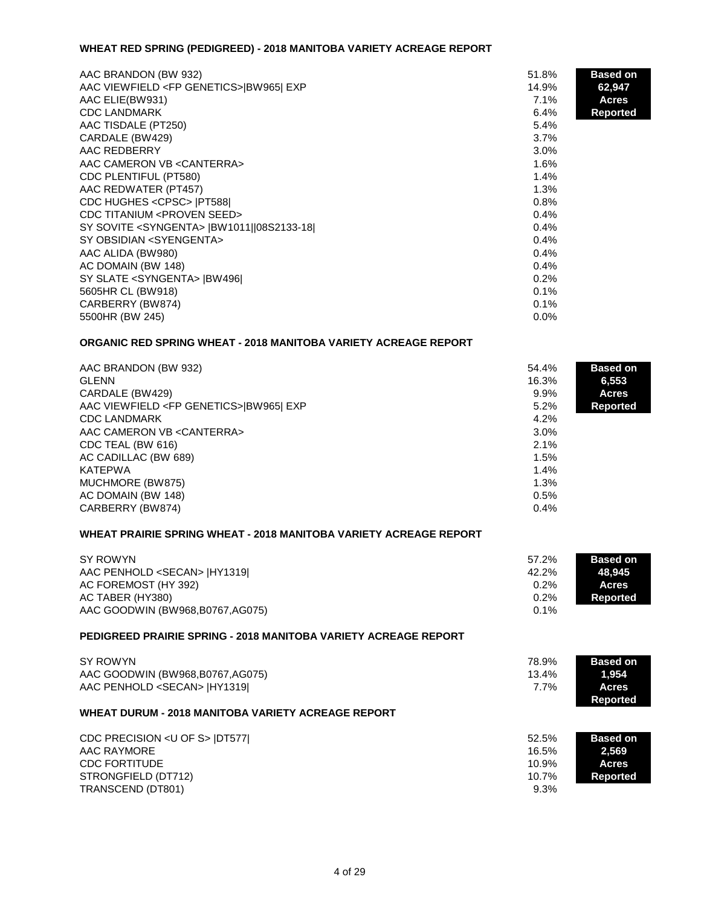### **WHEAT RED SPRING (PEDIGREED) - 2018 MANITOBA VARIETY ACREAGE REPORT**

| AAC BRANDON (BW 932)                                 | 51.8%   | <b>Based on</b> |
|------------------------------------------------------|---------|-----------------|
| AAC VIEWFIELD <fp genetics="">IBW965I EXP</fp>       | 14.9%   | 62,947          |
| AAC ELIE(BW931)                                      | 7.1%    | <b>Acres</b>    |
| <b>CDC LANDMARK</b>                                  | 6.4%    | <b>Reported</b> |
| AAC TISDALE (PT250)                                  | 5.4%    |                 |
| CARDALE (BW429)                                      | 3.7%    |                 |
| AAC REDBERRY                                         | $3.0\%$ |                 |
| AAC CAMERON VB < CANTERRA>                           | 1.6%    |                 |
| CDC PLENTIFUL (PT580)                                | 1.4%    |                 |
| AAC REDWATER (PT457)                                 | 1.3%    |                 |
| CDC HUGHES <cpsc>  PT588 </cpsc>                     | 0.8%    |                 |
| CDC TITANIUM <proven seed=""></proven>               | 0.4%    |                 |
| SY SOVITE <syngenta>  BW1011  08S2133-18 </syngenta> | 0.4%    |                 |
| SY OBSIDIAN <syengenta></syengenta>                  | 0.4%    |                 |
| AAC ALIDA (BW980)                                    | 0.4%    |                 |
| AC DOMAIN (BW 148)                                   | 0.4%    |                 |
| SY SLATE <syngenta>  BW496 </syngenta>               | 0.2%    |                 |
| 5605HR CL (BW918)                                    | 0.1%    |                 |
| CARBERRY (BW874)                                     | 0.1%    |                 |
| 5500HR (BW 245)                                      | $0.0\%$ |                 |

## **ORGANIC RED SPRING WHEAT - 2018 MANITOBA VARIETY ACREAGE REPORT**

| AAC BRANDON (BW 932)                           | 54.4%   | <b>Based on</b> |
|------------------------------------------------|---------|-----------------|
| <b>GLENN</b>                                   | 16.3%   | 6,553           |
| CARDALE (BW429)                                | $9.9\%$ | <b>Acres</b>    |
| AAC VIEWFIELD <fp genetics="">IBW965I EXP</fp> | 5.2%    | <b>Reported</b> |
| <b>CDC LANDMARK</b>                            | 4.2%    |                 |
| AAC CAMERON VB < CANTERRA>                     | $3.0\%$ |                 |
| CDC TEAL (BW 616)                              | 2.1%    |                 |
| AC CADILLAC (BW 689)                           | 1.5%    |                 |
| KATEPWA                                        | 1.4%    |                 |
| MUCHMORE (BW875)                               | $1.3\%$ |                 |
| AC DOMAIN (BW 148)                             | 0.5%    |                 |
| CARBERRY (BW874)                               | 0.4%    |                 |

## **WHEAT PRAIRIE SPRING WHEAT - 2018 MANITOBA VARIETY ACREAGE REPORT**

| SY ROWYN                             | 57.2%   | <b>Based on</b> |
|--------------------------------------|---------|-----------------|
| AAC PENHOLD <secan>  HY1319 </secan> | 42.2%   | 48.945          |
| AC FOREMOST (HY 392)                 | 0.2%    | <b>Acres</b>    |
| AC TABER (HY380)                     | 0.2%    | Reported        |
| AAC GOODWIN (BW968,B0767,AG075)      | $0.1\%$ |                 |

# **PEDIGREED PRAIRIE SPRING - 2018 MANITOBA VARIETY ACREAGE REPORT**

| SY ROWYN<br>AAC GOODWIN (BW968,B0767,AG075)<br>AAC PENHOLD <secan>  HY1319 <br/><b>WHEAT DURUM - 2018 MANITOBA VARIETY ACREAGE REPORT</b></secan> | 78.9%<br>13.4%<br>$7.7\%$ | <b>Based on</b><br>1,954<br>Acres<br><b>Reported</b> |
|---------------------------------------------------------------------------------------------------------------------------------------------------|---------------------------|------------------------------------------------------|
| CDC PRECISION <u of="" s=""> IDT577<br/>AAC RAYMORE</u>                                                                                           | 52.5%<br>16.5%            | <b>Based on</b><br>2,569                             |
| <b>CDC FORTITUDE</b>                                                                                                                              | 10.9%                     | <b>Acres</b>                                         |
| STRONGFIELD (DT712)                                                                                                                               | 10.7%                     | <b>Reported</b>                                      |

TRANSCEND (DT801) 9.3%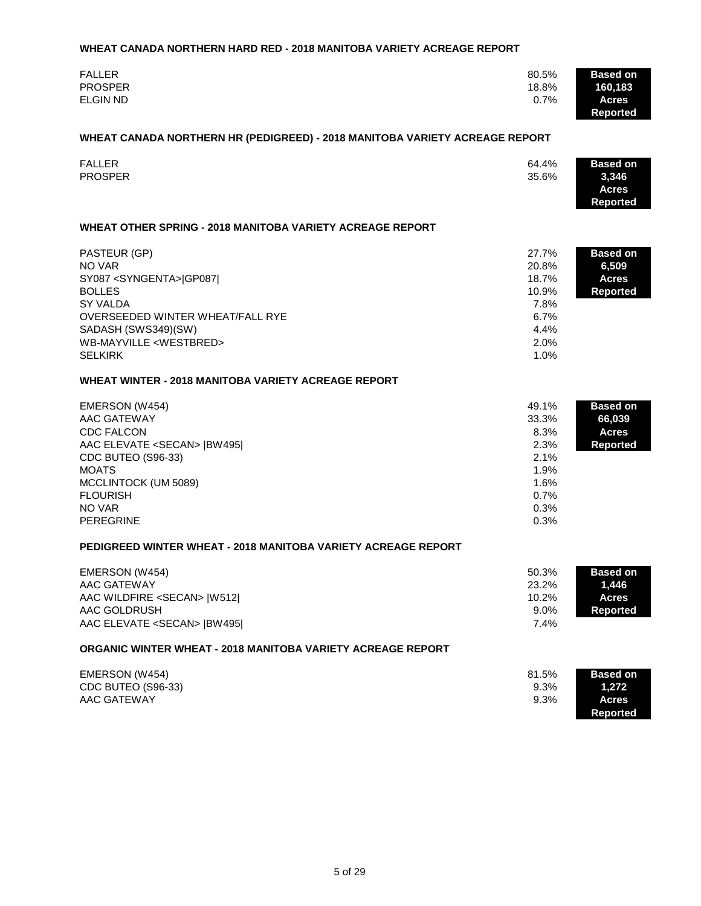#### **WHEAT CANADA NORTHERN HARD RED - 2018 MANITOBA VARIETY ACREAGE REPORT**

| <b>FALLER</b>   | 80.5%   | <b>Based on</b> |
|-----------------|---------|-----------------|
| <b>PROSPER</b>  | 18.8%   | 160,183         |
| <b>ELGIN ND</b> | $0.7\%$ | Acres           |
|                 |         | <b>Reported</b> |

#### **WHEAT CANADA NORTHERN HR (PEDIGREED) - 2018 MANITOBA VARIETY ACREAGE REPORT**

| <b>FALLER</b>  | 64.4% | <b>Based on</b> |
|----------------|-------|-----------------|
| <b>PROSPER</b> | 35.6% | 3,346           |
|                |       | Acres           |
|                |       | <b>Reported</b> |

# **WHEAT OTHER SPRING - 2018 MANITOBA VARIETY ACREAGE REPORT**

| PASTEUR (GP)<br>NO VAR<br>SY087 <syngenta> GP087 <br/><b>BOLLES</b><br/>SY VALDA<br/>OVERSEEDED WINTER WHEAT/FALL RYE</syngenta> | 27.7%<br>20.8%<br>18.7%<br>10.9%<br>7.8%<br>6.7% | <b>Based on</b><br>6,509<br><b>Acres</b><br><b>Reported</b> |
|----------------------------------------------------------------------------------------------------------------------------------|--------------------------------------------------|-------------------------------------------------------------|
| SADASH (SWS349)(SW)                                                                                                              | 4.4%                                             |                                                             |
| WB-MAYVILLE <westbred><br/><b>SELKIRK</b></westbred>                                                                             | 2.0%<br>1.0%                                     |                                                             |

#### **WHEAT WINTER - 2018 MANITOBA VARIETY ACREAGE REPORT**

| EMERSON (W454)                      | 49.1%   | <b>Based on</b> |
|-------------------------------------|---------|-----------------|
| AAC GATEWAY                         | 33.3%   | 66,039          |
| <b>CDC FALCON</b>                   | 8.3%    | <b>Acres</b>    |
| AAC ELEVATE <secan>  BW495 </secan> | 2.3%    | <b>Reported</b> |
| CDC BUTEO (S96-33)                  | $2.1\%$ |                 |
| <b>MOATS</b>                        | 1.9%    |                 |
| MCCLINTOCK (UM 5089)                | 1.6%    |                 |
| <b>FLOURISH</b>                     | $0.7\%$ |                 |
| NO VAR                              | 0.3%    |                 |
| <b>PEREGRINE</b>                    | 0.3%    |                 |

#### **PEDIGREED WINTER WHEAT - 2018 MANITOBA VARIETY ACREAGE REPORT**

| EMERSON (W454)                      | 50.3%    | <b>Based on</b> |
|-------------------------------------|----------|-----------------|
| AAC GATEWAY                         | 23.2%    | .1.446          |
| AAC WILDFIRE <secan>  W512 </secan> | $10.2\%$ | <b>Acres</b>    |
| AAC GOLDRUSH                        | $9.0\%$  | Reported        |
| AAC ELEVATE <secan>  BW495 </secan> | 7.4%     |                 |

# **ORGANIC WINTER WHEAT - 2018 MANITOBA VARIETY ACREAGE REPORT**

| EMERSON (W454)     | 81.5% | <b>Based on</b> |
|--------------------|-------|-----------------|
| CDC BUTEO (S96-33) | 9.3%  | 1,272           |
| AAC GATEWAY        | 9.3%  | Acres           |
|                    |       | Reported        |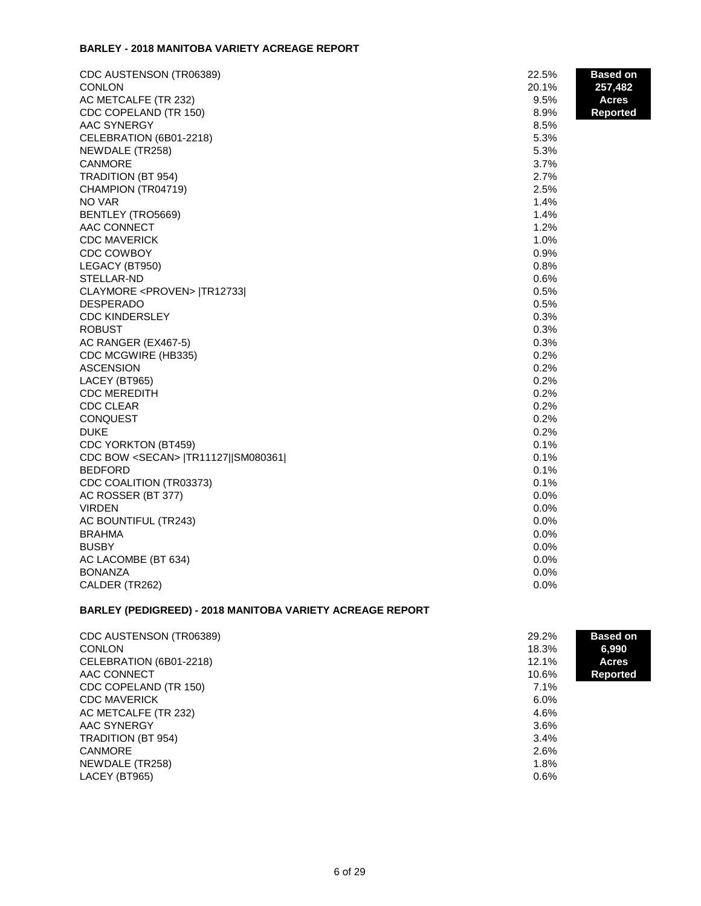#### **BARLEY - 2018 MANITOBA VARIETY ACREAGE REPORT**

| CDC AUSTENSON (TR06389)                     | 22.5%         | <b>Based on</b> |
|---------------------------------------------|---------------|-----------------|
| CONLON                                      | 20.1%<br>9.5% | 257,482         |
| AC METCALFE (TR 232)                        | 8.9%          | <b>Acres</b>    |
| CDC COPELAND (TR 150)<br>AAC SYNERGY        | 8.5%          | <b>Reported</b> |
| CELEBRATION (6B01-2218)                     | 5.3%          |                 |
| NEWDALE (TR258)                             | 5.3%          |                 |
| <b>CANMORE</b>                              | 3.7%          |                 |
| TRADITION (BT 954)                          | 2.7%          |                 |
| CHAMPION (TR04719)                          | 2.5%          |                 |
| NO VAR                                      | 1.4%          |                 |
| BENTLEY (TRO5669)                           | 1.4%          |                 |
| AAC CONNECT                                 | 1.2%          |                 |
| <b>CDC MAVERICK</b>                         | 1.0%          |                 |
| CDC COWBOY                                  | 0.9%          |                 |
| LEGACY (BT950)                              | 0.8%          |                 |
| STELLAR-ND                                  | 0.6%          |                 |
| CLAYMORE <proven>  TR12733 </proven>        | 0.5%          |                 |
| <b>DESPERADO</b>                            | 0.5%          |                 |
| <b>CDC KINDERSLEY</b>                       | 0.3%          |                 |
| <b>ROBUST</b>                               | 0.3%          |                 |
| AC RANGER (EX467-5)                         | 0.3%          |                 |
| CDC MCGWIRE (HB335)                         | 0.2%          |                 |
| <b>ASCENSION</b>                            | 0.2%          |                 |
| LACEY (BT965)                               | 0.2%          |                 |
| <b>CDC MEREDITH</b>                         | 0.2%          |                 |
| <b>CDC CLEAR</b>                            | 0.2%          |                 |
| <b>CONQUEST</b>                             | 0.2%          |                 |
| <b>DUKE</b>                                 | 0.2%          |                 |
| CDC YORKTON (BT459)                         | 0.1%          |                 |
| CDC BOW <secan>  TR11127  SM080361 </secan> | 0.1%          |                 |
| <b>BEDFORD</b>                              | 0.1%          |                 |
| CDC COALITION (TR03373)                     | 0.1%          |                 |
| AC ROSSER (BT 377)                          | 0.0%          |                 |
| <b>VIRDEN</b>                               | 0.0%          |                 |
| AC BOUNTIFUL (TR243)                        | 0.0%          |                 |
| <b>BRAHMA</b>                               | 0.0%          |                 |
| <b>BUSBY</b>                                | 0.0%          |                 |
| AC LACOMBE (BT 634)                         | 0.0%          |                 |
| <b>BONANZA</b>                              | 0.0%          |                 |
| CALDER (TR262)                              | 0.0%          |                 |

# **BARLEY (PEDIGREED) - 2018 MANITOBA VARIETY ACREAGE REPORT**

| CDC AUSTENSON (TR06389) | 29.2% | <b>Based on</b> |
|-------------------------|-------|-----------------|
| <b>CONLON</b>           | 18.3% | 6,990           |
| CELEBRATION (6B01-2218) | 12.1% | Acres           |
| AAC CONNECT             | 10.6% | <b>Reported</b> |
| CDC COPELAND (TR 150)   | 7.1%  |                 |
| <b>CDC MAVERICK</b>     | 6.0%  |                 |
| AC METCALFE (TR 232)    | 4.6%  |                 |
| AAC SYNERGY             | 3.6%  |                 |
| TRADITION (BT 954)      | 3.4%  |                 |
| <b>CANMORE</b>          | 2.6%  |                 |
| NEWDALE (TR258)         | 1.8%  |                 |
| LACEY (BT965)           | 0.6%  |                 |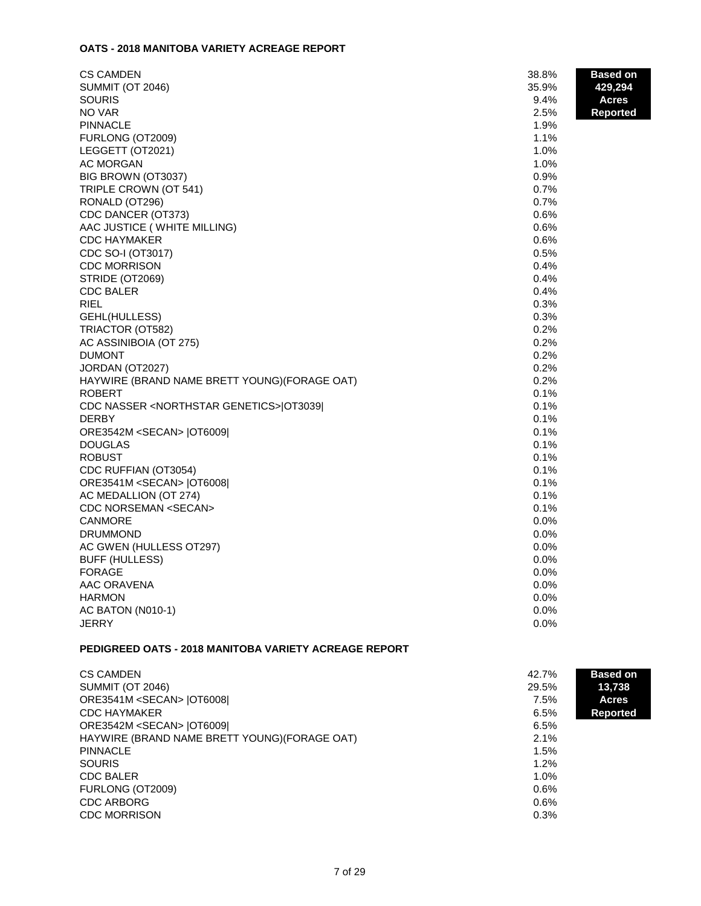# **OATS - 2018 MANITOBA VARIETY ACREAGE REPORT**

| <b>CS CAMDEN</b><br>38.8%<br><b>Based on</b><br><b>SUMMIT (OT 2046)</b><br>35.9%<br>429,294<br><b>SOURIS</b><br>9.4%<br><b>Acres</b><br>NO VAR<br>2.5%<br><b>Reported</b><br><b>PINNACLE</b><br>1.9%<br>1.1%<br>FURLONG (OT2009)<br>1.0%<br>LEGGETT (OT2021)<br>AC MORGAN<br>1.0%<br>0.9%<br>BIG BROWN (OT3037)<br>0.7%<br>TRIPLE CROWN (OT 541)<br>0.7%<br>RONALD (OT296)<br>CDC DANCER (OT373)<br>0.6%<br>AAC JUSTICE (WHITE MILLING)<br>0.6%<br>0.6%<br><b>CDC HAYMAKER</b><br>0.5%<br>CDC SO-I (OT3017)<br><b>CDC MORRISON</b><br>0.4%<br>0.4%<br>STRIDE (OT2069)<br>0.4%<br><b>CDC BALER</b><br>0.3%<br><b>RIEL</b><br>GEHL(HULLESS)<br>0.3%<br>TRIACTOR (OT582)<br>0.2%<br>0.2%<br>AC ASSINIBOIA (OT 275)<br><b>DUMONT</b><br>0.2%<br>0.2%<br>JORDAN (OT2027)<br>HAYWIRE (BRAND NAME BRETT YOUNG) (FORAGE OAT)<br>0.2%<br>0.1%<br>ROBERT<br>0.1%<br>CDC NASSER <northstar genetics="">[OT3039]<br/>0.1%<br/>DERBY<br/>ORE3542M <secan>  OT6009 <br/>0.1%<br/>0.1%<br/><b>DOUGLAS</b><br/>0.1%<br/><b>ROBUST</b><br/>CDC RUFFIAN (OT3054)<br/>0.1%<br/>0.1%<br/>ORE3541M <secan>  OT6008 <br/>AC MEDALLION (OT 274)<br/>0.1%<br/><b>CDC NORSEMAN <secan></secan></b><br/>0.1%<br/><b>CANMORE</b><br/>0.0%<br/><b>DRUMMOND</b><br/><math>0.0\%</math><br/>AC GWEN (HULLESS OT297)<br/>0.0%<br/><b>BUFF (HULLESS)</b><br/>0.0%<br/>0.0%<br/><b>FORAGE</b><br/>AAC ORAVENA<br/>0.0%<br/><b>HARMON</b><br/>0.0%<br/>AC BATON (N010-1)<br/>0.0%</secan></secan></northstar> |       |      |  |
|-----------------------------------------------------------------------------------------------------------------------------------------------------------------------------------------------------------------------------------------------------------------------------------------------------------------------------------------------------------------------------------------------------------------------------------------------------------------------------------------------------------------------------------------------------------------------------------------------------------------------------------------------------------------------------------------------------------------------------------------------------------------------------------------------------------------------------------------------------------------------------------------------------------------------------------------------------------------------------------------------------------------------------------------------------------------------------------------------------------------------------------------------------------------------------------------------------------------------------------------------------------------------------------------------------------------------------------------------------------------------------------------------------------------------------------------------------------------------------|-------|------|--|
|                                                                                                                                                                                                                                                                                                                                                                                                                                                                                                                                                                                                                                                                                                                                                                                                                                                                                                                                                                                                                                                                                                                                                                                                                                                                                                                                                                                                                                                                             |       |      |  |
|                                                                                                                                                                                                                                                                                                                                                                                                                                                                                                                                                                                                                                                                                                                                                                                                                                                                                                                                                                                                                                                                                                                                                                                                                                                                                                                                                                                                                                                                             |       |      |  |
|                                                                                                                                                                                                                                                                                                                                                                                                                                                                                                                                                                                                                                                                                                                                                                                                                                                                                                                                                                                                                                                                                                                                                                                                                                                                                                                                                                                                                                                                             |       |      |  |
|                                                                                                                                                                                                                                                                                                                                                                                                                                                                                                                                                                                                                                                                                                                                                                                                                                                                                                                                                                                                                                                                                                                                                                                                                                                                                                                                                                                                                                                                             |       |      |  |
|                                                                                                                                                                                                                                                                                                                                                                                                                                                                                                                                                                                                                                                                                                                                                                                                                                                                                                                                                                                                                                                                                                                                                                                                                                                                                                                                                                                                                                                                             |       |      |  |
|                                                                                                                                                                                                                                                                                                                                                                                                                                                                                                                                                                                                                                                                                                                                                                                                                                                                                                                                                                                                                                                                                                                                                                                                                                                                                                                                                                                                                                                                             |       |      |  |
|                                                                                                                                                                                                                                                                                                                                                                                                                                                                                                                                                                                                                                                                                                                                                                                                                                                                                                                                                                                                                                                                                                                                                                                                                                                                                                                                                                                                                                                                             |       |      |  |
|                                                                                                                                                                                                                                                                                                                                                                                                                                                                                                                                                                                                                                                                                                                                                                                                                                                                                                                                                                                                                                                                                                                                                                                                                                                                                                                                                                                                                                                                             |       |      |  |
|                                                                                                                                                                                                                                                                                                                                                                                                                                                                                                                                                                                                                                                                                                                                                                                                                                                                                                                                                                                                                                                                                                                                                                                                                                                                                                                                                                                                                                                                             |       |      |  |
|                                                                                                                                                                                                                                                                                                                                                                                                                                                                                                                                                                                                                                                                                                                                                                                                                                                                                                                                                                                                                                                                                                                                                                                                                                                                                                                                                                                                                                                                             |       |      |  |
|                                                                                                                                                                                                                                                                                                                                                                                                                                                                                                                                                                                                                                                                                                                                                                                                                                                                                                                                                                                                                                                                                                                                                                                                                                                                                                                                                                                                                                                                             |       |      |  |
|                                                                                                                                                                                                                                                                                                                                                                                                                                                                                                                                                                                                                                                                                                                                                                                                                                                                                                                                                                                                                                                                                                                                                                                                                                                                                                                                                                                                                                                                             |       |      |  |
|                                                                                                                                                                                                                                                                                                                                                                                                                                                                                                                                                                                                                                                                                                                                                                                                                                                                                                                                                                                                                                                                                                                                                                                                                                                                                                                                                                                                                                                                             |       |      |  |
|                                                                                                                                                                                                                                                                                                                                                                                                                                                                                                                                                                                                                                                                                                                                                                                                                                                                                                                                                                                                                                                                                                                                                                                                                                                                                                                                                                                                                                                                             |       |      |  |
|                                                                                                                                                                                                                                                                                                                                                                                                                                                                                                                                                                                                                                                                                                                                                                                                                                                                                                                                                                                                                                                                                                                                                                                                                                                                                                                                                                                                                                                                             |       |      |  |
|                                                                                                                                                                                                                                                                                                                                                                                                                                                                                                                                                                                                                                                                                                                                                                                                                                                                                                                                                                                                                                                                                                                                                                                                                                                                                                                                                                                                                                                                             |       |      |  |
|                                                                                                                                                                                                                                                                                                                                                                                                                                                                                                                                                                                                                                                                                                                                                                                                                                                                                                                                                                                                                                                                                                                                                                                                                                                                                                                                                                                                                                                                             |       |      |  |
|                                                                                                                                                                                                                                                                                                                                                                                                                                                                                                                                                                                                                                                                                                                                                                                                                                                                                                                                                                                                                                                                                                                                                                                                                                                                                                                                                                                                                                                                             |       |      |  |
|                                                                                                                                                                                                                                                                                                                                                                                                                                                                                                                                                                                                                                                                                                                                                                                                                                                                                                                                                                                                                                                                                                                                                                                                                                                                                                                                                                                                                                                                             |       |      |  |
|                                                                                                                                                                                                                                                                                                                                                                                                                                                                                                                                                                                                                                                                                                                                                                                                                                                                                                                                                                                                                                                                                                                                                                                                                                                                                                                                                                                                                                                                             |       |      |  |
|                                                                                                                                                                                                                                                                                                                                                                                                                                                                                                                                                                                                                                                                                                                                                                                                                                                                                                                                                                                                                                                                                                                                                                                                                                                                                                                                                                                                                                                                             |       |      |  |
|                                                                                                                                                                                                                                                                                                                                                                                                                                                                                                                                                                                                                                                                                                                                                                                                                                                                                                                                                                                                                                                                                                                                                                                                                                                                                                                                                                                                                                                                             |       |      |  |
|                                                                                                                                                                                                                                                                                                                                                                                                                                                                                                                                                                                                                                                                                                                                                                                                                                                                                                                                                                                                                                                                                                                                                                                                                                                                                                                                                                                                                                                                             |       |      |  |
|                                                                                                                                                                                                                                                                                                                                                                                                                                                                                                                                                                                                                                                                                                                                                                                                                                                                                                                                                                                                                                                                                                                                                                                                                                                                                                                                                                                                                                                                             |       |      |  |
|                                                                                                                                                                                                                                                                                                                                                                                                                                                                                                                                                                                                                                                                                                                                                                                                                                                                                                                                                                                                                                                                                                                                                                                                                                                                                                                                                                                                                                                                             |       |      |  |
|                                                                                                                                                                                                                                                                                                                                                                                                                                                                                                                                                                                                                                                                                                                                                                                                                                                                                                                                                                                                                                                                                                                                                                                                                                                                                                                                                                                                                                                                             |       |      |  |
|                                                                                                                                                                                                                                                                                                                                                                                                                                                                                                                                                                                                                                                                                                                                                                                                                                                                                                                                                                                                                                                                                                                                                                                                                                                                                                                                                                                                                                                                             |       |      |  |
|                                                                                                                                                                                                                                                                                                                                                                                                                                                                                                                                                                                                                                                                                                                                                                                                                                                                                                                                                                                                                                                                                                                                                                                                                                                                                                                                                                                                                                                                             |       |      |  |
|                                                                                                                                                                                                                                                                                                                                                                                                                                                                                                                                                                                                                                                                                                                                                                                                                                                                                                                                                                                                                                                                                                                                                                                                                                                                                                                                                                                                                                                                             |       |      |  |
|                                                                                                                                                                                                                                                                                                                                                                                                                                                                                                                                                                                                                                                                                                                                                                                                                                                                                                                                                                                                                                                                                                                                                                                                                                                                                                                                                                                                                                                                             |       |      |  |
|                                                                                                                                                                                                                                                                                                                                                                                                                                                                                                                                                                                                                                                                                                                                                                                                                                                                                                                                                                                                                                                                                                                                                                                                                                                                                                                                                                                                                                                                             |       |      |  |
|                                                                                                                                                                                                                                                                                                                                                                                                                                                                                                                                                                                                                                                                                                                                                                                                                                                                                                                                                                                                                                                                                                                                                                                                                                                                                                                                                                                                                                                                             |       |      |  |
|                                                                                                                                                                                                                                                                                                                                                                                                                                                                                                                                                                                                                                                                                                                                                                                                                                                                                                                                                                                                                                                                                                                                                                                                                                                                                                                                                                                                                                                                             |       |      |  |
|                                                                                                                                                                                                                                                                                                                                                                                                                                                                                                                                                                                                                                                                                                                                                                                                                                                                                                                                                                                                                                                                                                                                                                                                                                                                                                                                                                                                                                                                             |       |      |  |
|                                                                                                                                                                                                                                                                                                                                                                                                                                                                                                                                                                                                                                                                                                                                                                                                                                                                                                                                                                                                                                                                                                                                                                                                                                                                                                                                                                                                                                                                             |       |      |  |
|                                                                                                                                                                                                                                                                                                                                                                                                                                                                                                                                                                                                                                                                                                                                                                                                                                                                                                                                                                                                                                                                                                                                                                                                                                                                                                                                                                                                                                                                             |       |      |  |
|                                                                                                                                                                                                                                                                                                                                                                                                                                                                                                                                                                                                                                                                                                                                                                                                                                                                                                                                                                                                                                                                                                                                                                                                                                                                                                                                                                                                                                                                             |       |      |  |
|                                                                                                                                                                                                                                                                                                                                                                                                                                                                                                                                                                                                                                                                                                                                                                                                                                                                                                                                                                                                                                                                                                                                                                                                                                                                                                                                                                                                                                                                             |       |      |  |
|                                                                                                                                                                                                                                                                                                                                                                                                                                                                                                                                                                                                                                                                                                                                                                                                                                                                                                                                                                                                                                                                                                                                                                                                                                                                                                                                                                                                                                                                             |       |      |  |
|                                                                                                                                                                                                                                                                                                                                                                                                                                                                                                                                                                                                                                                                                                                                                                                                                                                                                                                                                                                                                                                                                                                                                                                                                                                                                                                                                                                                                                                                             |       |      |  |
|                                                                                                                                                                                                                                                                                                                                                                                                                                                                                                                                                                                                                                                                                                                                                                                                                                                                                                                                                                                                                                                                                                                                                                                                                                                                                                                                                                                                                                                                             |       |      |  |
|                                                                                                                                                                                                                                                                                                                                                                                                                                                                                                                                                                                                                                                                                                                                                                                                                                                                                                                                                                                                                                                                                                                                                                                                                                                                                                                                                                                                                                                                             |       |      |  |
|                                                                                                                                                                                                                                                                                                                                                                                                                                                                                                                                                                                                                                                                                                                                                                                                                                                                                                                                                                                                                                                                                                                                                                                                                                                                                                                                                                                                                                                                             |       |      |  |
|                                                                                                                                                                                                                                                                                                                                                                                                                                                                                                                                                                                                                                                                                                                                                                                                                                                                                                                                                                                                                                                                                                                                                                                                                                                                                                                                                                                                                                                                             | JERRY | 0.0% |  |

# **PEDIGREED OATS - 2018 MANITOBA VARIETY ACREAGE REPORT**

| <b>Based on</b> |
|-----------------|
| 13,738          |
| <b>Acres</b>    |
| <b>Reported</b> |
|                 |
|                 |
|                 |
|                 |
|                 |
|                 |
|                 |
|                 |
|                 |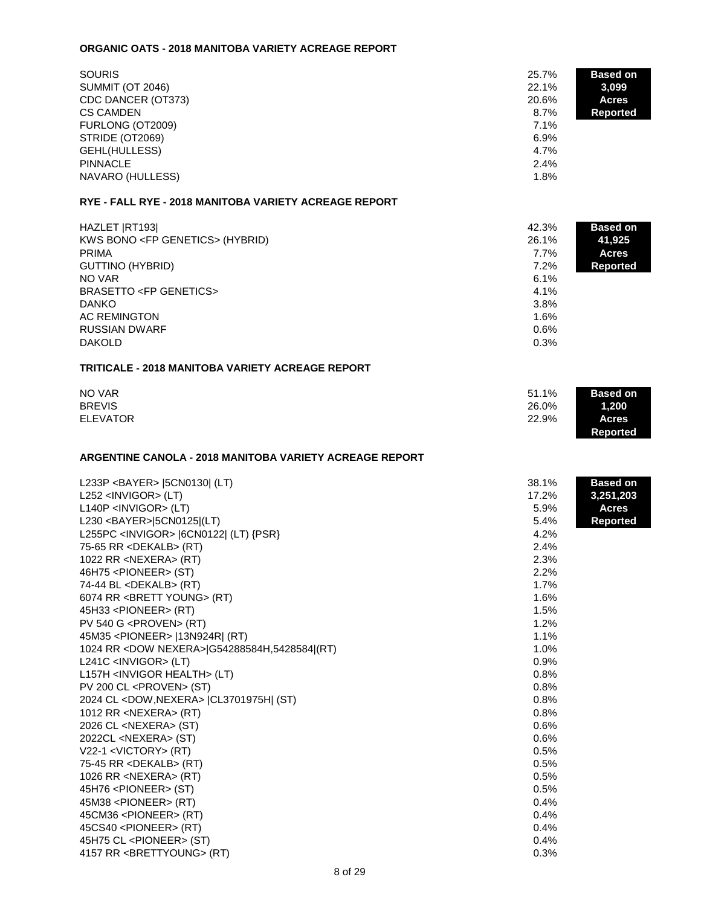#### **ORGANIC OATS - 2018 MANITOBA VARIETY ACREAGE REPORT**

| <b>SOURIS</b>                                         | 25.7%   | <b>Based on</b> |
|-------------------------------------------------------|---------|-----------------|
| <b>SUMMIT (OT 2046)</b>                               | 22.1%   | 3,099           |
| CDC DANCER (OT373)                                    | 20.6%   | <b>Acres</b>    |
| <b>CS CAMDEN</b>                                      | $8.7\%$ | <b>Reported</b> |
| FURLONG (OT2009)                                      | 7.1%    |                 |
| STRIDE (OT2069)                                       | $6.9\%$ |                 |
| GEHL(HULLESS)                                         | $4.7\%$ |                 |
| <b>PINNACLE</b>                                       | 2.4%    |                 |
| NAVARO (HULLESS)                                      | 1.8%    |                 |
| RYE - FALL RYE - 2018 MANITOBA VARIETY ACREAGE REPORT |         |                 |

| HAZLET RT193                            | 42.3%   | <b>Based on</b> |
|-----------------------------------------|---------|-----------------|
| KWS BONO <fp genetics=""> (HYBRID)</fp> | 26.1%   | 41,925          |
| <b>PRIMA</b>                            | 7.7%    | <b>Acres</b>    |
| <b>GUTTINO (HYBRID)</b>                 | $7.2\%$ | <b>Reported</b> |
| NO VAR                                  | 6.1%    |                 |
| <b>BRASETTO <fp genetics=""></fp></b>   | 4.1%    |                 |
| <b>DANKO</b>                            | 3.8%    |                 |
| AC REMINGTON                            | 1.6%    |                 |
| <b>RUSSIAN DWARF</b>                    | 0.6%    |                 |
| <b>DAKOLD</b>                           | 0.3%    |                 |

### **TRITICALE - 2018 MANITOBA VARIETY ACREAGE REPORT**

| NO VAR          | <b>Based on</b><br>51.1% |  |
|-----------------|--------------------------|--|
| <b>BREVIS</b>   | 26.0%<br>1,200           |  |
| <b>ELEVATOR</b> | 22.9%<br><b>Acres</b>    |  |
|                 | <b>Reported</b>          |  |

## **ARGENTINE CANOLA - 2018 MANITOBA VARIETY ACREAGE REPORT**

| L233P <bayer> [5CN0130] (LT)</bayer>            | 38.1%<br>17.2% | <b>Based on</b> |
|-------------------------------------------------|----------------|-----------------|
| L252 <invigor> (LT)</invigor>                   |                | 3,251,203       |
| $L140P$ <invigor> (LT)</invigor>                | 5.9%<br>5.4%   | <b>Acres</b>    |
| L230 <bayer> 5CN0125 (LT)</bayer>               | 4.2%           | Reported        |
| L255PC <invigor> [6CN0122] (LT) {PSR}</invigor> |                |                 |
| 75-65 RR <dekalb> (RT)</dekalb>                 | 2.4%           |                 |
| 1022 RR <nexera> (RT)</nexera>                  | 2.3%           |                 |
| 46H75 <pioneer> (ST)</pioneer>                  | 2.2%           |                 |
| 74-44 BL <dekalb> (RT)</dekalb>                 | 1.7%           |                 |
| 6074 RR <brett young=""> (RT)</brett>           | 1.6%           |                 |
| 45H33 <pioneer> (RT)</pioneer>                  | 1.5%           |                 |
| PV 540 G <proven> (RT)</proven>                 | 1.2%           |                 |
| 45M35 <pioneer>  13N924R  (RT)</pioneer>        | 1.1%           |                 |
| 1024 RR < DOW NEXERA> G54288584H, 5428584 (RT)  | 1.0%           |                 |
| L241C <invigor> (LT)</invigor>                  | 0.9%           |                 |
| L157H <invigor health=""> (LT)</invigor>        | 0.8%           |                 |
| PV 200 CL <proven> (ST)</proven>                | 0.8%           |                 |
| 2024 CL < DOW, NEXERA >   CL3701975H [ (ST)     | 0.8%           |                 |
| 1012 RR <nexera> (RT)</nexera>                  | 0.8%           |                 |
| 2026 CL <nexera> (ST)</nexera>                  | 0.6%           |                 |
| 2022CL <nexera> (ST)</nexera>                   | 0.6%           |                 |
| V22-1 <victory> (RT)</victory>                  | 0.5%           |                 |
| 75-45 RR <dekalb> (RT)</dekalb>                 | 0.5%           |                 |
| 1026 RR <nexera> (RT)</nexera>                  | 0.5%           |                 |
| 45H76 <pioneer> (ST)</pioneer>                  | 0.5%           |                 |
| 45M38 <pioneer> (RT)</pioneer>                  | 0.4%           |                 |
| 45CM36 <pioneer> (RT)</pioneer>                 | 0.4%           |                 |
| 45CS40 <pioneer> (RT)</pioneer>                 | 0.4%           |                 |
| 45H75 CL <pioneer> (ST)</pioneer>               | 0.4%           |                 |
| 4157 RR <brettyoung> (RT)</brettyoung>          | 0.3%           |                 |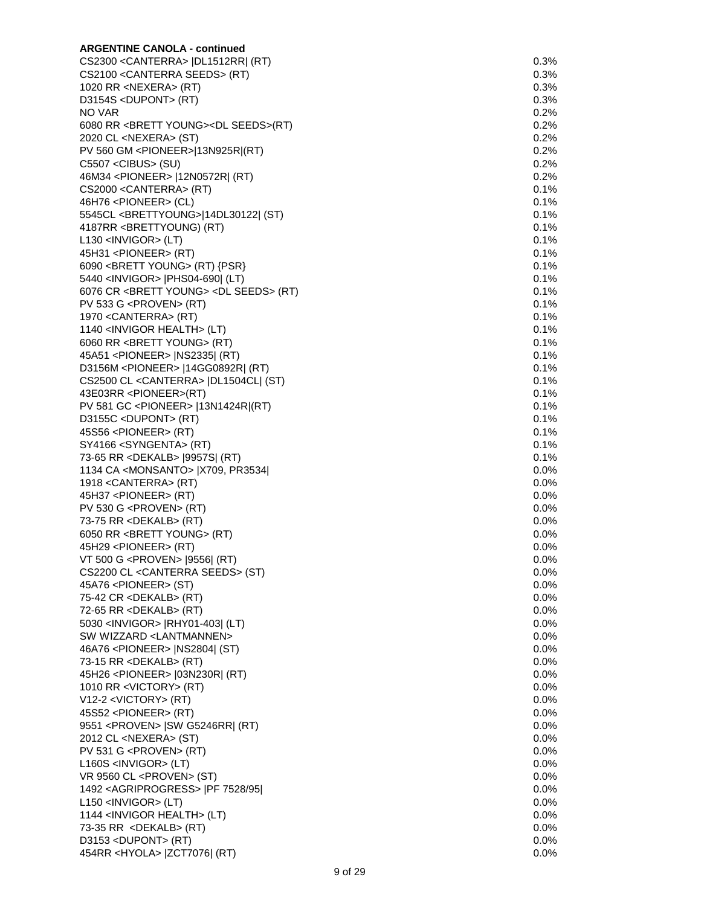| <b>ARGENTINE CANOLA - continued</b>                            |         |
|----------------------------------------------------------------|---------|
| CS2300 < CANTERRA>   DL1512RR  (RT)                            | 0.3%    |
| CS2100 < CANTERRA SEEDS > (RT)                                 | 0.3%    |
| 1020 RR <nexera> (RT)</nexera>                                 | 0.3%    |
| D3154S <dupont> (RT)</dupont>                                  | 0.3%    |
| NO VAR                                                         | 0.2%    |
| 6080 RR <brett young=""><dl seeds="">(RT)</dl></brett>         | 0.2%    |
| 2020 CL <nexera> (ST)</nexera>                                 | 0.2%    |
| PV 560 GM <pioneer> 13N925R (RT)</pioneer>                     | 0.2%    |
| $C5507 <$ CIBUS> (SU)                                          | 0.2%    |
| 46M34 <pioneer>  12N0572R  (RT)</pioneer>                      | 0.2%    |
| CS2000 < CANTERRA > (RT)                                       | 0.1%    |
| 46H76 <pioneer> (CL)</pioneer>                                 | $0.1\%$ |
| 5545CL <brettyoung>[14DL30122] (ST)</brettyoung>               | 0.1%    |
| 4187RR <brettyoung) (rt)<="" td=""><td>0.1%</td></brettyoung)> | 0.1%    |
| $L130$ <invigor> (LT)</invigor>                                | 0.1%    |
| 45H31 <pioneer> (RT)</pioneer>                                 | 0.1%    |
| 6090 < BRETT YOUNG > (RT) {PSR}                                | 0.1%    |
| 5440 <invigor>  PHS04-690  (LT)</invigor>                      | 0.1%    |
| 6076 CR <brett young=""> <dl seeds=""> (RT)</dl></brett>       | 0.1%    |
| PV 533 G <proven> (RT)</proven>                                | 0.1%    |
| 1970 < CANTERRA > (RT)                                         | 0.1%    |
| 1140 <invigor health=""> (LT)</invigor>                        | $0.1\%$ |
| 6060 RR <brett young=""> (RT)</brett>                          | 0.1%    |
| 45A51 <pioneer>   NS2335   (RT)</pioneer>                      | 0.1%    |
| D3156M <pioneer>  14GG0892R  (RT)</pioneer>                    | 0.1%    |
| CS2500 CL < CANTERRA>   DL1504CL   (ST)                        | 0.1%    |
| 43E03RR <pioneer>(RT)</pioneer>                                | 0.1%    |
| PV 581 GC <pioneer>  13N1424R (RT)</pioneer>                   | 0.1%    |
| D3155C <dupont> (RT)</dupont>                                  | 0.1%    |
| 45S56 <pioneer> (RT)</pioneer>                                 | 0.1%    |
| SY4166 <syngenta> (RT)</syngenta>                              | 0.1%    |
| 73-65 RR <dekalb>  9957S  (RT)</dekalb>                        | 0.1%    |
| 1134 CA <monsanto>  X709, PR3534 </monsanto>                   | $0.0\%$ |
| 1918 < CANTERRA > (RT)                                         | $0.0\%$ |
| 45H37 <pioneer> (RT)</pioneer>                                 | 0.0%    |
| PV 530 G <proven> (RT)</proven>                                | $0.0\%$ |
| 73-75 RR <dekalb> (RT)</dekalb>                                | $0.0\%$ |
| 6050 RR <brett young=""> (RT)</brett>                          | $0.0\%$ |
| 45H29 <pioneer> (RT)</pioneer>                                 | 0.0%    |
| VT 500 G <proven> [9556] (RT)</proven>                         | 0.0%    |
| CS2200 CL < CANTERRA SEEDS> (ST)                               | $0.0\%$ |
| 45A76 <pioneer> (ST)</pioneer>                                 | $0.0\%$ |
| 75-42 CR <dekalb> (RT)</dekalb>                                | 0.0%    |
| 72-65 RR <dekalb> (RT)</dekalb>                                | 0.0%    |
| 5030 <invigor>  RHY01-403  (LT)</invigor>                      | $0.0\%$ |
| SW WIZZARD <lantmannen></lantmannen>                           | 0.0%    |
| 46A76 <pioneer>  NS2804  (ST)</pioneer>                        | $0.0\%$ |
| 73-15 RR <dekalb> (RT)</dekalb>                                | 0.0%    |
| 45H26 <pioneer>  03N230R  (RT)</pioneer>                       | 0.0%    |
| 1010 RR <victory> (RT)</victory>                               | 0.0%    |
| V12-2 <victory> (RT)</victory>                                 | 0.0%    |
| 45S52 <pioneer> (RT)</pioneer>                                 | $0.0\%$ |
| 9551 <proven>   SW G5246RR  (RT)</proven>                      | 0.0%    |
| 2012 CL <nexera> (ST)</nexera>                                 | 0.0%    |
| PV 531 G <proven> (RT)</proven>                                | $0.0\%$ |
|                                                                |         |
| $L160S$ <invigor> (LT)</invigor>                               | $0.0\%$ |
| VR 9560 CL <proven> (ST)</proven>                              | 0.0%    |
| 1492 < AGRIPROGRESS >   PF 7528/95                             | 0.0%    |
| $L150$ <invigor> (LT)</invigor>                                | $0.0\%$ |
| 1144 <invigor health=""> (LT)</invigor>                        | $0.0\%$ |
| 73-35 RR <dekalb> (RT)</dekalb>                                | 0.0%    |
| D3153 <dupont> (RT)</dupont>                                   | 0.0%    |
| 454RR <hyola>  ZCT7076  (RT)</hyola>                           | 0.0%    |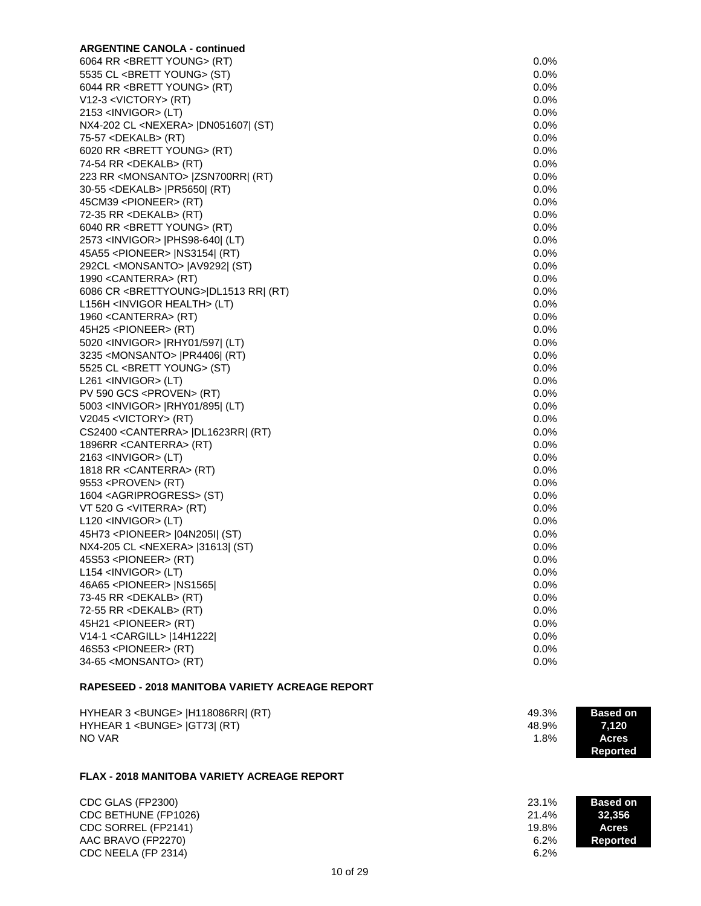| <b>ARGENTINE CANOLA - continued</b>               |         |
|---------------------------------------------------|---------|
| 6064 RR <brett young=""> (RT)</brett>             | 0.0%    |
| 5535 CL <brett young=""> (ST)</brett>             | 0.0%    |
| 6044 RR < BRETT YOUNG > (RT)                      | 0.0%    |
| $V12-3 < VICTORY > (RT)$                          | 0.0%    |
| 2153 <invigor> (LT)</invigor>                     | 0.0%    |
| NX4-202 CL <nexera>  DN051607  (ST)</nexera>      | $0.0\%$ |
| 75-57 <dekalb> (RT)</dekalb>                      | $0.0\%$ |
| 6020 RR <brett young=""> (RT)</brett>             | $0.0\%$ |
| 74-54 RR <dekalb> (RT)</dekalb>                   | 0.0%    |
| 223 RR <monsanto>  ZSN700RR  (RT)</monsanto>      | 0.0%    |
| 30-55 <dekalb>  PR5650  (RT)</dekalb>             | 0.0%    |
| 45CM39 <pioneer> (RT)</pioneer>                   | 0.0%    |
| 72-35 RR <dekalb> (RT)</dekalb>                   | 0.0%    |
| 6040 RR <brett young=""> (RT)</brett>             | 0.0%    |
| 2573 <invigor>  PHS98-640  (LT)</invigor>         | 0.0%    |
| 45A55 <pioneer>  NS3154  (RT)</pioneer>           | 0.0%    |
| 292CL <monsanto>  AV9292  (ST)</monsanto>         | 0.0%    |
| 1990 < CANTERRA > (RT)                            | 0.0%    |
| 6086 CR <brettyoung> DL1513 RR  (RT)</brettyoung> | 0.0%    |
| L156H <invigor health=""> (LT)</invigor>          | 0.0%    |
| 1960 < CANTERRA > (RT)                            | 0.0%    |
| 45H25 <pioneer> (RT)</pioneer>                    | 0.0%    |
| 5020 <invigor>  RHY01/597  (LT)</invigor>         | $0.0\%$ |
| 3235 < MONSANTO >   PR4406  (RT)                  | $0.0\%$ |
| 5525 CL <brett young=""> (ST)</brett>             | 0.0%    |
| L261 <invigor> (LT)</invigor>                     | 0.0%    |
| PV 590 GCS <proven> (RT)</proven>                 | 0.0%    |
| 5003 <invigor>  RHY01/895  (LT)</invigor>         | 0.0%    |
| V2045 <victory> (RT)</victory>                    | 0.0%    |
| CS2400 < CANTERRA>   DL1623RR  (RT)               | $0.0\%$ |
| 1896RR < CANTERRA > (RT)                          | 0.0%    |
| 2163 <invigor> (LT)</invigor>                     | 0.0%    |
| 1818 RR < CANTERRA > (RT)                         | 0.0%    |
| 9553 <proven> (RT)</proven>                       | 0.0%    |
| 1604 <agriprogress> (ST)</agriprogress>           | 0.0%    |
| VT 520 G <viterra> (RT)</viterra>                 | 0.0%    |
| $L120$ <invigor> (LT)</invigor>                   | $0.0\%$ |
| 45H73 <pioneer>  04N205I  (ST)</pioneer>          | 0.0%    |
| NX4-205 CL <nexera> [31613] (ST)</nexera>         | 0.0%    |
| 45S53 <pioneer> (RT)</pioneer>                    | 0.0%    |
| L154 <invigor> (LT)</invigor>                     | 0.0%    |
| 46A65 <pioneer>   NS1565 </pioneer>               | 0.0%    |
| 73-45 RR <dekalb> (RT)</dekalb>                   | 0.0%    |
| 72-55 RR <dekalb> (RT)</dekalb>                   | 0.0%    |
| 45H21 <pioneer> (RT)</pioneer>                    | 0.0%    |
| V14-1 < CARGILL >   14H1222                       | 0.0%    |
| 46S53 <pioneer> (RT)</pioneer>                    | 0.0%    |
| 34-65 <monsanto> (RT)</monsanto>                  | 0.0%    |
|                                                   |         |
|                                                   |         |

# **RAPESEED - 2018 MANITOBA VARIETY ACREAGE REPORT**

| HYHEAR 3 <bunge>  H118086RR  (RT)</bunge> | 49.3% | <b>Based on</b> |
|-------------------------------------------|-------|-----------------|
| HYHEAR 1 <bunge>  GT73  (RT)</bunge>      | 48.9% | 7.120           |
| NO VAR                                    | 1.8%  | <b>Acres</b>    |
|                                           |       | Reported        |

#### **FLAX - 2018 MANITOBA VARIETY ACREAGE REPORT**

CDC GLAS (FP2300) 23.1% **Based on Automatic CDC Based on Automatic Property CDC Based on Automatic Property CDC**<br>
21.4% **Based on Automatic Property CDC** Based on Automatic Property CDC Based on Automatic Property CDC Base CDC BETHUNE (FP1026) CDC SORREL (FP2141) 19.8% AAC BRAVO (FP2270) 6.2% **Report Following Service 2012 12:24 AC BRAVO** (FP2270) 6.2%  $CDC$  NEELA (FP 2314)

| 6 | <b>Based on</b> |
|---|-----------------|
| 6 | 32,356          |
| 6 | <b>Acres</b>    |
| 6 | <b>Reported</b> |
|   |                 |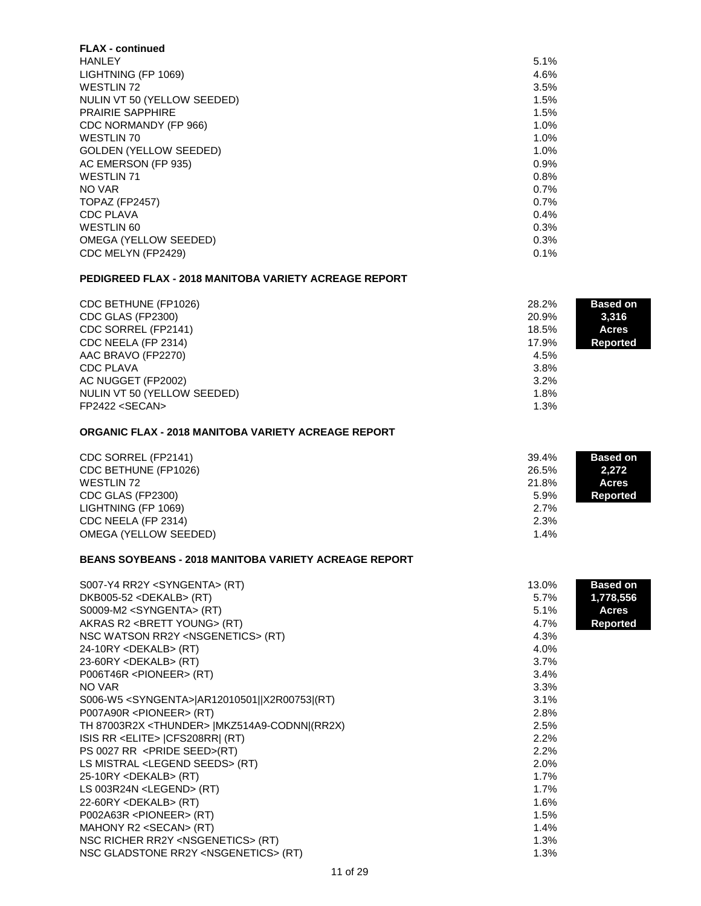| <b>FLAX</b> - continued       |      |
|-------------------------------|------|
| <b>HANLEY</b>                 | 5.1% |
| LIGHTNING (FP 1069)           | 4.6% |
| WESTLIN 72                    | 3.5% |
| NULIN VT 50 (YELLOW SEEDED)   | 1.5% |
| <b>PRAIRIE SAPPHIRE</b>       | 1.5% |
| CDC NORMANDY (FP 966)         | 1.0% |
| WESTLIN 70                    | 1.0% |
| <b>GOLDEN (YELLOW SEEDED)</b> | 1.0% |
| AC EMERSON (FP 935)           | 0.9% |
| <b>WESTLIN 71</b>             | 0.8% |
| NO VAR                        | 0.7% |
| TOPAZ (FP2457)                | 0.7% |
| <b>CDC PLAVA</b>              | 0.4% |
| WESTLIN 60                    | 0.3% |
| OMEGA (YELLOW SEEDED)         | 0.3% |
| CDC MELYN (FP2429)            | 0.1% |

# **PEDIGREED FLAX - 2018 MANITOBA VARIETY ACREAGE REPORT**

| CDC BETHUNE (FP1026)<br>CDC GLAS (FP2300) | 28.2%<br>20.9% | <b>Based on</b><br>3,316 |
|-------------------------------------------|----------------|--------------------------|
| CDC SORREL (FP2141)                       | 18.5%          | <b>Acres</b>             |
| CDC NEELA (FP 2314)                       | 17.9%          | <b>Reported</b>          |
| AAC BRAVO (FP2270)                        | 4.5%           |                          |
| <b>CDC PLAVA</b>                          | 3.8%           |                          |
| AC NUGGET (FP2002)                        | 3.2%           |                          |
| NULIN VT 50 (YELLOW SEEDED)               | 1.8%           |                          |
| FP2422 < SECAN                            | 1.3%           |                          |

#### **ORGANIC FLAX - 2018 MANITOBA VARIETY ACREAGE REPORT**

| CDC SORREL (FP2141)<br>CDC BETHUNE (FP1026)            | 39.4%<br>26.5%        | <b>Based on</b><br>2,272        |
|--------------------------------------------------------|-----------------------|---------------------------------|
| WESTLIN 72<br>CDC GLAS (FP2300)<br>LIGHTNING (FP 1069) | 21.8%<br>5.9%<br>2.7% | <b>Acres</b><br><b>Reported</b> |
| CDC NEELA (FP 2314)<br>OMEGA (YELLOW SEEDED)           | 2.3%<br>1.4%          |                                 |

## **BEANS SOYBEANS - 2018 MANITOBA VARIETY ACREAGE REPORT**

| S007-Y4 RR2Y <syngenta> (RT)</syngenta>                 | 13.0%   | <b>Based on</b> |
|---------------------------------------------------------|---------|-----------------|
| DKB005-52 <dekalb> (RT)</dekalb>                        | $5.7\%$ | 1,778,556       |
| S0009-M2 <syngenta> (RT)</syngenta>                     | 5.1%    | Acres           |
| AKRAS R2 <brett young=""> (RT)</brett>                  | 4.7%    | <b>Reported</b> |
| NSC WATSON RR2Y <nsgenetics> (RT)</nsgenetics>          | 4.3%    |                 |
| 24-10RY <dekalb> (RT)</dekalb>                          | 4.0%    |                 |
| 23-60RY <dekalb> (RT)</dekalb>                          | 3.7%    |                 |
| P006T46R <pioneer> (RT)</pioneer>                       | 3.4%    |                 |
| NO VAR                                                  | 3.3%    |                 |
| S006-W5 <syngenta> AR12010501  X2R00753 (RT)</syngenta> | 3.1%    |                 |
| P007A90R <pioneer> (RT)</pioneer>                       | 2.8%    |                 |
| TH 87003R2X <thunder>  MKZ514A9-CODNN (RR2X)</thunder>  | 2.5%    |                 |
| ISIS RR <elite>  CFS208RR  (RT)</elite>                 | 2.2%    |                 |
| PS 0027 RR <pride seed="">(RT)</pride>                  | 2.2%    |                 |
| LS MISTRAL <legend seeds=""> (RT)</legend>              | 2.0%    |                 |
| 25-10RY <dekalb> (RT)</dekalb>                          | 1.7%    |                 |
| LS 003R24N <legend> (RT)</legend>                       | 1.7%    |                 |
| 22-60RY <dekalb> (RT)</dekalb>                          | 1.6%    |                 |
| P002A63R <pioneer> (RT)</pioneer>                       | 1.5%    |                 |
| MAHONY R2 <secan> (RT)</secan>                          | 1.4%    |                 |
| NSC RICHER RR2Y <nsgenetics> (RT)</nsgenetics>          | 1.3%    |                 |
| NSC GLADSTONE RR2Y <nsgenetics> (RT)</nsgenetics>       | 1.3%    |                 |
|                                                         |         |                 |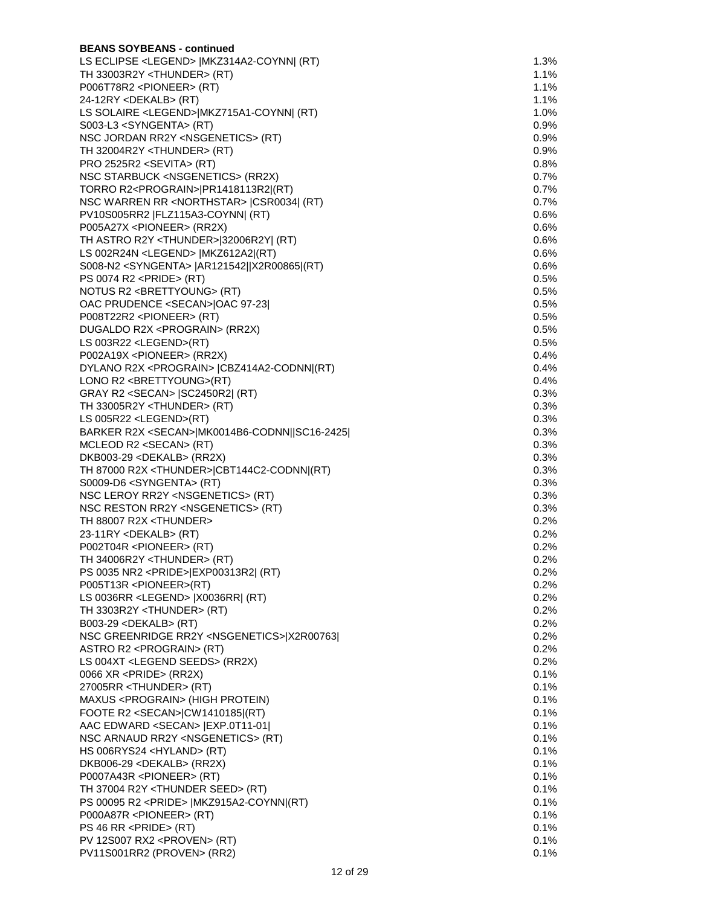| <b>BEANS SOYBEANS - continued</b>                                                             |                 |
|-----------------------------------------------------------------------------------------------|-----------------|
| LS ECLIPSE <legend>  MKZ314A2-COYNN  (RT)</legend>                                            | 1.3%            |
| TH 33003R2Y <thunder> (RT)</thunder>                                                          | $1.1\%$         |
| P006T78R2 <pioneer> (RT)</pioneer>                                                            | 1.1%            |
| 24-12RY <dekalb> (RT)</dekalb>                                                                | 1.1%            |
| LS SOLAIRE <legend> MKZ715A1-COYNN  (RT)</legend>                                             | 1.0%            |
| S003-L3 <syngenta> (RT)</syngenta>                                                            | 0.9%            |
| NSC JORDAN RR2Y <nsgenetics> (RT)</nsgenetics>                                                | 0.9%            |
| TH 32004R2Y <thunder> (RT)</thunder>                                                          | 0.9%            |
| PRO 2525R2 <sevita> (RT)</sevita>                                                             | $0.8\%$         |
| NSC STARBUCK <nsgenetics> (RR2X)</nsgenetics>                                                 | 0.7%            |
| TORRO R2 <prograin> PR1418113R2 (RT)</prograin>                                               | $0.7\%$         |
| NSC WARREN RR <northstar>   CSR0034  (RT)</northstar>                                         | $0.7\%$         |
| PV10S005RR2  FLZ115A3-COYNN  (RT)                                                             | 0.6%            |
| P005A27X <pioneer> (RR2X)</pioneer>                                                           | 0.6%            |
| TH ASTRO R2Y <thunder> 32006R2Y  (RT)</thunder>                                               | 0.6%            |
| LS 002R24N <legend>   MKZ612A2  (RT)</legend>                                                 | 0.6%            |
| S008-N2 <syngenta>  AR121542  X2R00865 (RT)</syngenta>                                        | 0.6%            |
| PS 0074 R2 <pride> (RT)</pride>                                                               | $0.5\%$         |
| NOTUS R2 <brettyoung> (RT)</brettyoung>                                                       | 0.5%            |
| OAC PRUDENCE <secan> OAC 97-23 </secan>                                                       | $0.5\%$<br>0.5% |
| P008T22R2 <pioneer> (RT)</pioneer>                                                            |                 |
| DUGALDO R2X <prograin> (RR2X)</prograin>                                                      | 0.5%            |
| LS 003R22 <legend>(RT)</legend>                                                               | 0.5%            |
| P002A19X <pioneer> (RR2X)<br/>DYLANO R2X <prograin>  CBZ414A2-CODNN (RT)</prograin></pioneer> | 0.4%<br>$0.4\%$ |
| LONO R2 <brettyoung>(RT)</brettyoung>                                                         | $0.4\%$         |
| GRAY R2 <secan>   SC2450R2  (RT)</secan>                                                      | 0.3%            |
| TH 33005R2Y <thunder> (RT)</thunder>                                                          | 0.3%            |
| LS 005R22 <legend>(RT)</legend>                                                               | 0.3%            |
| BARKER R2X <secan> MK0014B6-CODNN  SC16-2425 </secan>                                         | 0.3%            |
| MCLEOD R2 <secan> (RT)</secan>                                                                | 0.3%            |
| DKB003-29 <dekalb> (RR2X)</dekalb>                                                            | 0.3%            |
| TH 87000 R2X <thunder> CBT144C2-CODNN (RT)</thunder>                                          | 0.3%            |
| S0009-D6 <syngenta> (RT)</syngenta>                                                           | 0.3%            |
| NSC LEROY RR2Y <nsgenetics> (RT)</nsgenetics>                                                 | 0.3%            |
| NSC RESTON RR2Y <nsgenetics> (RT)</nsgenetics>                                                | 0.3%            |
| TH 88007 R2X <thunder></thunder>                                                              | 0.2%            |
| 23-11RY <dekalb> (RT)</dekalb>                                                                | 0.2%            |
| P002T04R <pioneer> (RT)</pioneer>                                                             | 0.2%            |
| TH 34006R2Y <thunder> (RT)</thunder>                                                          | $0.2\%$         |
| PS 0035 NR2 <pride> EXP00313R2  (RT)</pride>                                                  | 0.2%            |
| P005T13R <pioneer>(RT)</pioneer>                                                              | $0.2\%$         |
| LS 0036RR <legend>  X0036RR  (RT)</legend>                                                    | 0.2%            |
| TH 3303R2Y <thunder> (RT)</thunder>                                                           | 0.2%            |
| B003-29 <dekalb> (RT)</dekalb>                                                                | 0.2%            |
| NSC GREENRIDGE RR2Y <nsgenetics> X2R00763 </nsgenetics>                                       | $0.2\%$         |
| ASTRO R2 <prograin> (RT)</prograin>                                                           | 0.2%            |
| LS 004XT <legend seeds=""> (RR2X)</legend>                                                    | 0.2%            |
| 0066 XR <pride> (RR2X)</pride>                                                                | 0.1%            |
| 27005RR <thunder> (RT)</thunder>                                                              | 0.1%            |
| MAXUS <prograin> (HIGH PROTEIN)</prograin>                                                    | 0.1%            |
| FOOTE R2 <secan> CW1410185 (RT)</secan>                                                       | 0.1%            |
| AAC EDWARD <secan>   EXP.0T11-01 </secan>                                                     | 0.1%            |
| NSC ARNAUD RR2Y <nsgenetics> (RT)</nsgenetics>                                                | 0.1%            |
| HS 006RYS24 <hyland> (RT)</hyland>                                                            | 0.1%            |
| DKB006-29 <dekalb> (RR2X)</dekalb>                                                            | 0.1%            |
| P0007A43R <pioneer> (RT)</pioneer>                                                            | 0.1%            |
| TH 37004 R2Y <thunder seed=""> (RT)</thunder>                                                 | 0.1%            |
| PS 00095 R2 <pride>   MKZ915A2-COYNN (RT)</pride>                                             | 0.1%            |
| P000A87R <pioneer> (RT)</pioneer>                                                             | 0.1%            |
| $PS 46 RR$ <pride> (RT)</pride>                                                               | 0.1%            |
| PV 12S007 RX2 <proven> (RT)</proven>                                                          | 0.1%            |
| PV11S001RR2 (PROVEN> (RR2)                                                                    | 0.1%            |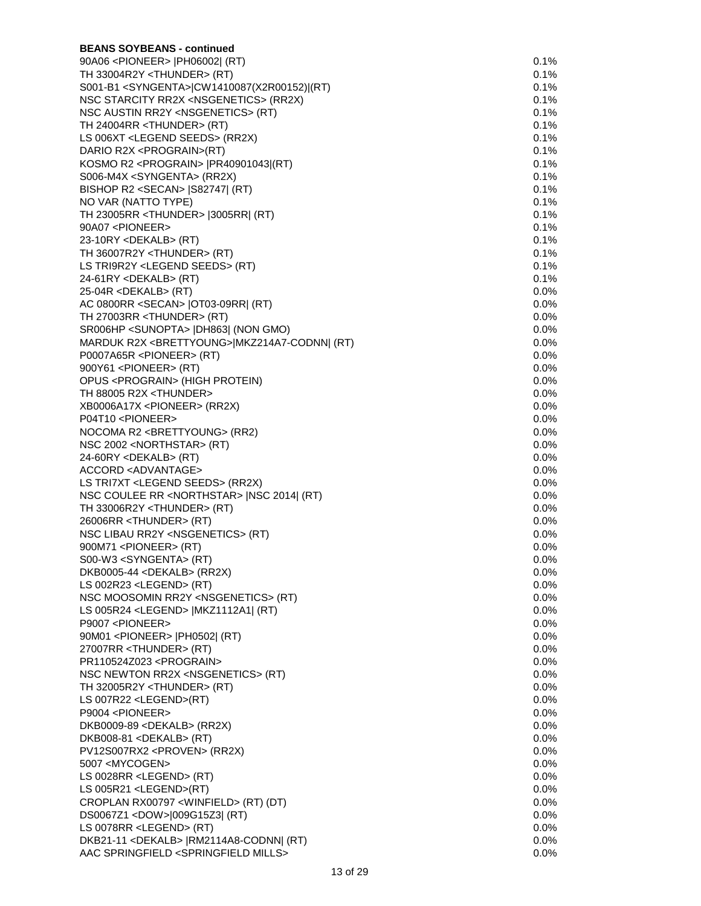| <b>BEANS SOYBEANS - continued</b>                         |         |
|-----------------------------------------------------------|---------|
| 90A06 <pioneer>  PH06002  (RT)</pioneer>                  | 0.1%    |
| TH 33004R2Y <thunder> (RT)</thunder>                      | 0.1%    |
| S001-B1 <syngenta> CW1410087(X2R00152) (RT)</syngenta>    | 0.1%    |
| NSC STARCITY RR2X <nsgenetics> (RR2X)</nsgenetics>        | 0.1%    |
| NSC AUSTIN RR2Y <nsgenetics> (RT)</nsgenetics>            | 0.1%    |
| TH 24004RR <thunder> (RT)</thunder>                       | $0.1\%$ |
| LS 006XT <legend seeds=""> (RR2X)</legend>                | 0.1%    |
| DARIO R2X <prograin>(RT)</prograin>                       | $0.1\%$ |
| KOSMO R2 <prograin>  PR40901043 (RT)</prograin>           | 0.1%    |
| S006-M4X <syngenta> (RR2X)</syngenta>                     | $0.1\%$ |
| BISHOP R2 <secan>   S82747  (RT)</secan>                  | 0.1%    |
| NO VAR (NATTO TYPE)                                       | 0.1%    |
| TH 23005RR <thunder>  3005RR  (RT)</thunder>              | 0.1%    |
| 90A07 <pioneer></pioneer>                                 | 0.1%    |
| 23-10RY <dekalb> (RT)</dekalb>                            | 0.1%    |
| TH 36007R2Y <thunder> (RT)</thunder>                      | 0.1%    |
| LS TRI9R2Y <legend seeds=""> (RT)</legend>                | 0.1%    |
| 24-61RY <dekalb> (RT)</dekalb>                            | 0.1%    |
| 25-04R <dekalb> (RT)</dekalb>                             | $0.0\%$ |
| AC 0800RR <secan>   OT03-09RR   (RT)</secan>              | 0.0%    |
| TH 27003RR <thunder> (RT)</thunder>                       | $0.0\%$ |
| SR006HP <sunopta>  DH863  (NON GMO)</sunopta>             | $0.0\%$ |
| MARDUK R2X <brettyoung> MKZ214A7-CODNN  (RT)</brettyoung> | 0.0%    |
| P0007A65R <pioneer> (RT)</pioneer>                        | $0.0\%$ |
| 900Y61 <pioneer> (RT)</pioneer>                           | $0.0\%$ |
| OPUS <prograin> (HIGH PROTEIN)</prograin>                 | $0.0\%$ |
| TH 88005 R2X <thunder></thunder>                          | 0.0%    |
| XB0006A17X <pioneer> (RR2X)</pioneer>                     | 0.0%    |
| P04T10 <pioneer></pioneer>                                | 0.0%    |
| NOCOMA R2 <brettyoung> (RR2)</brettyoung>                 | 0.0%    |
| NSC 2002 <northstar> (RT)</northstar>                     | $0.0\%$ |
| 24-60RY <dekalb> (RT)</dekalb>                            | $0.0\%$ |
| ACCORD <advantage></advantage>                            | $0.0\%$ |
| LS TRI7XT <legend seeds=""> (RR2X)</legend>               | $0.0\%$ |
| NSC COULEE RR <northstar>  NSC 2014  (RT)</northstar>     | $0.0\%$ |
| TH 33006R2Y <thunder> (RT)</thunder>                      | $0.0\%$ |
| 26006RR <thunder> (RT)</thunder>                          | $0.0\%$ |
| NSC LIBAU RR2Y <nsgenetics> (RT)</nsgenetics>             | $0.0\%$ |
| 900M71 <pioneer> (RT)</pioneer>                           | 0.0%    |
| S00-W3 <syngenta> (RT)</syngenta>                         | 0.0%    |
| DKB0005-44 <dekalb> (RR2X)</dekalb>                       | 0.0%    |
| LS 002R23 <legend> (RT)</legend>                          | $0.0\%$ |
| NSC MOOSOMIN RR2Y <nsgenetics> (RT)</nsgenetics>          | 0.0%    |
| LS 005R24 <legend>  MKZ1112A1  (RT)</legend>              | 0.0%    |
| P9007 <pioneer></pioneer>                                 | 0.0%    |
| 90M01 <pioneer>  PH0502  (RT)</pioneer>                   | $0.0\%$ |
| 27007RR <thunder> (RT)</thunder>                          | $0.0\%$ |
| PR110524Z023 <prograin></prograin>                        | 0.0%    |
| NSC NEWTON RR2X <nsgenetics> (RT)</nsgenetics>            | 0.0%    |
| TH 32005R2Y <thunder> (RT)</thunder>                      | 0.0%    |
| LS 007R22 <legend>(RT)</legend>                           | 0.0%    |
| P9004 <pioneer></pioneer>                                 | $0.0\%$ |
| DKB0009-89 <dekalb> (RR2X)</dekalb>                       | 0.0%    |
| DKB008-81 <dekalb> (RT)</dekalb>                          | 0.0%    |
| PV12S007RX2 <proven> (RR2X)</proven>                      | $0.0\%$ |
| 5007 <mycogen></mycogen>                                  | $0.0\%$ |
| LS 0028RR <legend> (RT)</legend>                          | 0.0%    |
| LS 005R21 <legend>(RT)</legend>                           | 0.0%    |
| CROPLAN RX00797 <winfield> (RT) (DT)</winfield>           | $0.0\%$ |
| DS0067Z1 <dow> 009G15Z3  (RT)</dow>                       | $0.0\%$ |
| LS 0078RR <legend> (RT)</legend>                          | 0.0%    |
| DKB21-11 <dekalb>  RM2114A8-CODNN  (RT)</dekalb>          | 0.0%    |
| AAC SPRINGFIELD <springfield mills=""></springfield>      | $0.0\%$ |
|                                                           |         |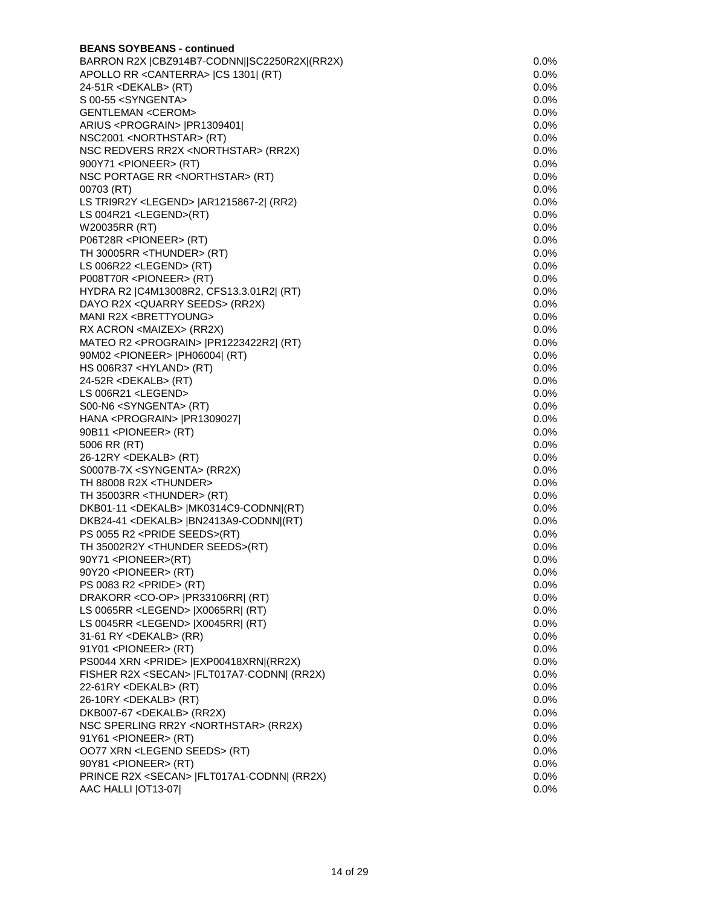| <b>BEANS SOYBEANS - continued</b>                   |         |
|-----------------------------------------------------|---------|
| BARRON R2X   CBZ914B7-CODNN  SC2250R2X  (RR2X)      | 0.0%    |
| APOLLO RR < CANTERRA > [CS 1301] (RT)               | $0.0\%$ |
| 24-51R <dekalb> (RT)</dekalb>                       | 0.0%    |
| S 00-55 <syngenta></syngenta>                       | 0.0%    |
| <b>GENTLEMAN <cerom></cerom></b>                    | 0.0%    |
| ARIUS <prograin>  PR1309401 </prograin>             | 0.0%    |
| NSC2001 <northstar> (RT)</northstar>                | 0.0%    |
| NSC REDVERS RR2X <northstar> (RR2X)</northstar>     | 0.0%    |
| 900Y71 <pioneer> (RT)</pioneer>                     | $0.0\%$ |
| NSC PORTAGE RR <northstar> (RT)</northstar>         | 0.0%    |
| 00703 (RT)                                          | $0.0\%$ |
| LS TRI9R2Y <legend>   AR1215867-2  (RR2)</legend>   | 0.0%    |
| LS 004R21 <legend>(RT)</legend>                     | 0.0%    |
| W20035RR (RT)                                       | 0.0%    |
| P06T28R <pioneer> (RT)</pioneer>                    | 0.0%    |
| TH 30005RR <thunder> (RT)</thunder>                 | $0.0\%$ |
| LS 006R22 <legend> (RT)</legend>                    | 0.0%    |
| P008T70R <pioneer> (RT)</pioneer>                   | $0.0\%$ |
| HYDRA R2   C4M13008R2, CFS13.3.01R2   (RT)          | 0.0%    |
| DAYO R2X < QUARRY SEEDS > (RR2X)                    | $0.0\%$ |
| MANI R2X <brettyoung></brettyoung>                  | $0.0\%$ |
| RX ACRON <maizex> (RR2X)</maizex>                   | $0.0\%$ |
| MATEO R2 <prograin>  PR1223422R2  (RT)</prograin>   | 0.0%    |
| 90M02 <pioneer>  PH06004  (RT)</pioneer>            | $0.0\%$ |
| HS 006R37 <hyland> (RT)</hyland>                    | $0.0\%$ |
| 24-52R <dekalb> (RT)</dekalb>                       | 0.0%    |
|                                                     |         |
| LS 006R21 <legend></legend>                         | 0.0%    |
| S00-N6 <syngenta> (RT)</syngenta>                   | 0.0%    |
| HANA <prograin>  PR1309027 </prograin>              | 0.0%    |
| 90B11 <pioneer> (RT)</pioneer>                      | 0.0%    |
| 5006 RR (RT)                                        | 0.0%    |
| 26-12RY <dekalb> (RT)</dekalb>                      | 0.0%    |
| S0007B-7X <syngenta> (RR2X)</syngenta>              | 0.0%    |
| TH 88008 R2X <thunder></thunder>                    | 0.0%    |
| TH 35003RR <thunder> (RT)</thunder>                 | $0.0\%$ |
| DKB01-11 <dekalb>  MK0314C9-CODNN (RT)</dekalb>     | $0.0\%$ |
| DKB24-41 <dekalb>  BN2413A9-CODNN (RT)</dekalb>     | $0.0\%$ |
| PS 0055 R2 <pride seeds="">(RT)</pride>             | 0.0%    |
| TH 35002R2Y <thunder seeds="">(RT)</thunder>        | 0.0%    |
| 90Y71 <pioneer>(RT)</pioneer>                       | $0.0\%$ |
| 90Y20 <pioneer> (RT)</pioneer>                      | 0.0%    |
| PS 0083 R2 <pride> (RT)</pride>                     | 0.0%    |
| DRAKORR <co-op>   PR33106RR  (RT)</co-op>           | $0.0\%$ |
| LS 0065RR <legend>   X0065RR   (RT)</legend>        | 0.0%    |
| LS 0045RR <legend>   X0045RR  (RT)</legend>         | 0.0%    |
| 31-61 RY <dekalb> (RR)</dekalb>                     | 0.0%    |
| 91Y01 <pioneer> (RT)</pioneer>                      | 0.0%    |
| PS0044 XRN <pride>  EXP00418XRN (RR2X)</pride>      | 0.0%    |
| FISHER R2X <secan>   FLT017A7-CODNN  (RR2X)</secan> | 0.0%    |
| 22-61RY <dekalb> (RT)</dekalb>                      | 0.0%    |
| 26-10RY <dekalb> (RT)</dekalb>                      | 0.0%    |
| DKB007-67 <dekalb> (RR2X)</dekalb>                  | 0.0%    |
| NSC SPERLING RR2Y <northstar> (RR2X)</northstar>    | 0.0%    |
| 91Y61 <pioneer> (RT)</pioneer>                      | $0.0\%$ |
| OO77 XRN <legend seeds=""> (RT)</legend>            | 0.0%    |
| 90Y81 <pioneer> (RT)</pioneer>                      | 0.0%    |
| PRINCE R2X <secan>   FLT017A1-CODNN  (RR2X)</secan> | 0.0%    |
| AAC HALLI [OT13-07]                                 | 0.0%    |
|                                                     |         |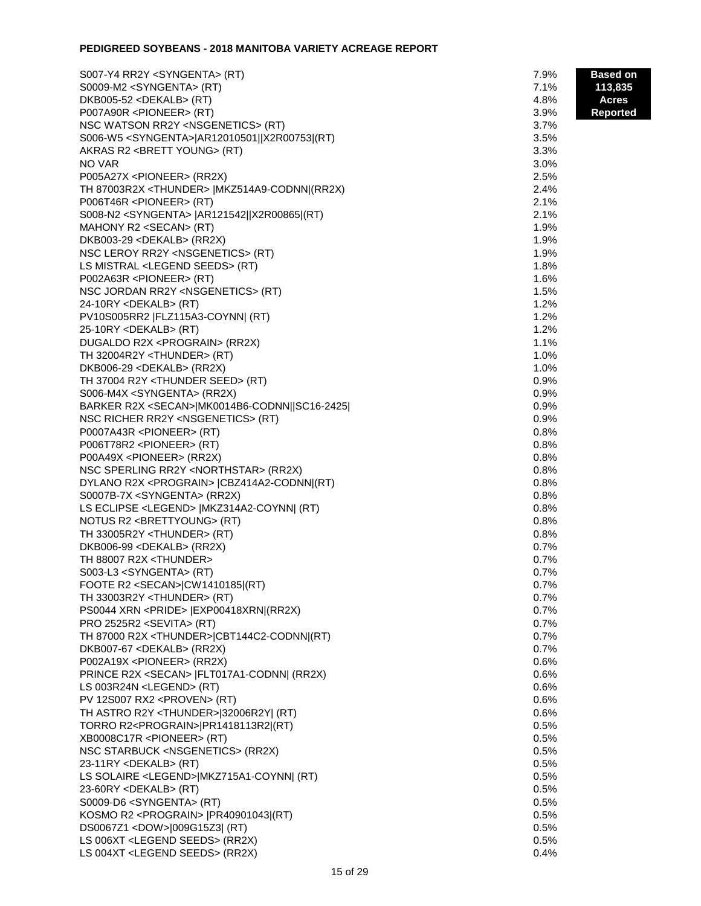# **PEDIGREED SOYBEANS - 2018 MANITOBA VARIETY ACREAGE REPORT**

| S007-Y4 RR2Y <syngenta> (RT)</syngenta>                 | 7.9% | <b>Based on</b> |
|---------------------------------------------------------|------|-----------------|
| S0009-M2 <syngenta> (RT)</syngenta>                     | 7.1% | 113,835         |
| DKB005-52 <dekalb> (RT)</dekalb>                        | 4.8% | <b>Acres</b>    |
| P007A90R <pioneer> (RT)</pioneer>                       | 3.9% | <b>Reported</b> |
| NSC WATSON RR2Y <nsgenetics> (RT)</nsgenetics>          | 3.7% |                 |
| S006-W5 <syngenta> AR12010501  X2R00753 (RT)</syngenta> | 3.5% |                 |
| AKRAS R2 <brett young=""> (RT)</brett>                  | 3.3% |                 |
| NO VAR                                                  | 3.0% |                 |
| P005A27X <pioneer> (RR2X)</pioneer>                     | 2.5% |                 |
| TH 87003R2X <thunder>   MKZ514A9-CODNN (RR2X)</thunder> | 2.4% |                 |
| P006T46R <pioneer> (RT)</pioneer>                       | 2.1% |                 |
| S008-N2 <syngenta>  AR121542  X2R00865 (RT)</syngenta>  | 2.1% |                 |
| MAHONY R2 <secan> (RT)</secan>                          | 1.9% |                 |
| DKB003-29 <dekalb> (RR2X)</dekalb>                      | 1.9% |                 |
| NSC LEROY RR2Y <nsgenetics> (RT)</nsgenetics>           | 1.9% |                 |
| LS MISTRAL <legend seeds=""> (RT)</legend>              | 1.8% |                 |
| P002A63R <pioneer> (RT)</pioneer>                       | 1.6% |                 |
| NSC JORDAN RR2Y <nsgenetics> (RT)</nsgenetics>          | 1.5% |                 |
| 24-10RY <dekalb> (RT)</dekalb>                          | 1.2% |                 |
| PV10S005RR2  FLZ115A3-COYNN  (RT)                       | 1.2% |                 |
| 25-10RY <dekalb> (RT)</dekalb>                          | 1.2% |                 |
| DUGALDO R2X <prograin> (RR2X)</prograin>                | 1.1% |                 |
| TH 32004R2Y <thunder> (RT)</thunder>                    | 1.0% |                 |
| DKB006-29 <dekalb> (RR2X)</dekalb>                      | 1.0% |                 |
| TH 37004 R2Y <thunder seed=""> (RT)</thunder>           | 0.9% |                 |
| S006-M4X <syngenta> (RR2X)</syngenta>                   | 0.9% |                 |
| BARKER R2X <secan> MK0014B6-CODNN  SC16-2425 </secan>   | 0.9% |                 |
| NSC RICHER RR2Y <nsgenetics> (RT)</nsgenetics>          | 0.9% |                 |
| P0007A43R <pioneer> (RT)</pioneer>                      | 0.8% |                 |
| P006T78R2 <pioneer> (RT)</pioneer>                      | 0.8% |                 |
| P00A49X <pioneer> (RR2X)</pioneer>                      | 0.8% |                 |
| NSC SPERLING RR2Y <northstar> (RR2X)</northstar>        | 0.8% |                 |
| DYLANO R2X <prograin>  CBZ414A2-CODNN (RT)</prograin>   | 0.8% |                 |
| S0007B-7X <syngenta> (RR2X)</syngenta>                  | 0.8% |                 |
| LS ECLIPSE <legend>   MKZ314A2-COYNN   (RT)</legend>    | 0.8% |                 |
| NOTUS R2 <brettyoung> (RT)</brettyoung>                 | 0.8% |                 |
| TH 33005R2Y <thunder> (RT)</thunder>                    | 0.8% |                 |
| DKB006-99 <dekalb> (RR2X)</dekalb>                      | 0.7% |                 |
| TH 88007 R2X <thunder></thunder>                        | 0.7% |                 |
| S003-L3 <syngenta> (RT)</syngenta>                      | 0.7% |                 |
| FOOTE R2 <secan> CW1410185 (RT)</secan>                 | 0.7% |                 |
| TH 33003R2Y <thunder> (RT)</thunder>                    | 0.7% |                 |
| PS0044 XRN <pride>  EXP00418XRN (RR2X)</pride>          | 0.7% |                 |
| PRO 2525R2 <sevita> (RT)</sevita>                       | 0.7% |                 |
| TH 87000 R2X <thunder> CBT144C2-CODNN (RT)</thunder>    | 0.7% |                 |
| DKB007-67 <dekalb> (RR2X)</dekalb>                      | 0.7% |                 |
| P002A19X <pioneer> (RR2X)</pioneer>                     | 0.6% |                 |
| PRINCE R2X <secan>   FLT017A1-CODNN  (RR2X)</secan>     | 0.6% |                 |
| LS 003R24N <legend> (RT)</legend>                       | 0.6% |                 |
| PV 12S007 RX2 <proven> (RT)</proven>                    | 0.6% |                 |
| TH ASTRO R2Y <thunder>[32006R2Y] (RT)</thunder>         | 0.6% |                 |
| TORRO R2 <prograin> PR1418113R2 (RT)</prograin>         | 0.5% |                 |
| XB0008C17R <pioneer> (RT)</pioneer>                     | 0.5% |                 |
| NSC STARBUCK <nsgenetics> (RR2X)</nsgenetics>           | 0.5% |                 |
| 23-11RY <dekalb> (RT)</dekalb>                          | 0.5% |                 |
| LS SOLAIRE <legend> MKZ715A1-COYNN  (RT)</legend>       | 0.5% |                 |
| 23-60RY <dekalb> (RT)</dekalb>                          | 0.5% |                 |
| S0009-D6 <syngenta> (RT)</syngenta>                     | 0.5% |                 |
| KOSMO R2 <prograin>  PR40901043 (RT)</prograin>         | 0.5% |                 |
| DS0067Z1 <dow> 009G15Z3  (RT)</dow>                     | 0.5% |                 |
| LS 006XT <legend seeds=""> (RR2X)</legend>              | 0.5% |                 |
| LS 004XT <legend seeds=""> (RR2X)</legend>              | 0.4% |                 |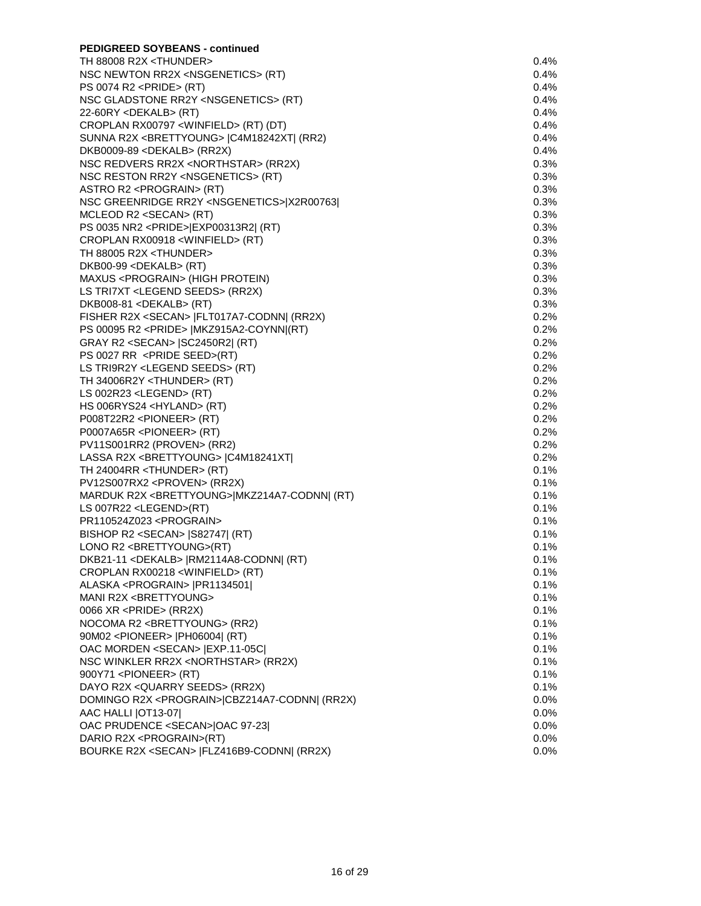| <b>PEDIGREED SOYBEANS - continued</b>                                     |              |
|---------------------------------------------------------------------------|--------------|
| TH 88008 R2X <thunder></thunder>                                          | 0.4%         |
| NSC NEWTON RR2X <nsgenetics> (RT)</nsgenetics>                            | 0.4%         |
| PS 0074 R2 <pride> (RT)</pride>                                           | $0.4\%$      |
| NSC GLADSTONE RR2Y <nsgenetics> (RT)</nsgenetics>                         | 0.4%         |
| $22-60RY <$ DEKALB> (RT)                                                  | 0.4%         |
| CROPLAN RX00797 <winfield> (RT) (DT)</winfield>                           | 0.4%         |
| SUNNA R2X <brettyoung>  C4M18242XT  (RR2)</brettyoung>                    | 0.4%         |
| DKB0009-89 <dekalb> (RR2X)</dekalb>                                       | 0.4%         |
| NSC REDVERS RR2X <northstar> (RR2X)</northstar>                           | 0.3%         |
| NSC RESTON RR2Y <nsgenetics> (RT)</nsgenetics>                            | 0.3%         |
| ASTRO R2 <prograin> (RT)</prograin>                                       | 0.3%         |
| NSC GREENRIDGE RR2Y <nsgenetics> X2R00763 </nsgenetics>                   | 0.3%         |
| MCLEOD R2 <secan> (RT)</secan>                                            | 0.3%         |
| PS 0035 NR2 <pride> EXP00313R2  (RT)</pride>                              | 0.3%         |
| CROPLAN RX00918 <winfield> (RT)</winfield>                                | 0.3%         |
| TH 88005 R2X <thunder></thunder>                                          | 0.3%         |
| DKB00-99 <dekalb> (RT)</dekalb>                                           | 0.3%         |
| MAXUS <prograin> (HIGH PROTEIN)</prograin>                                | 0.3%         |
| LS TRI7XT <legend seeds=""> (RR2X)</legend>                               | 0.3%         |
| DKB008-81 <dekalb> (RT)</dekalb>                                          | 0.3%         |
| FISHER R2X <secan>   FLT017A7-CODNN  (RR2X)</secan>                       | 0.2%         |
| PS 00095 R2 <pride>   MKZ915A2-COYNN (RT)</pride>                         | 0.2%         |
| GRAY R2 <secan> [SC2450R2] (RT)</secan>                                   | 0.2%         |
| PS 0027 RR <pride seed="">(RT)</pride>                                    | 0.2%         |
|                                                                           | 0.2%         |
| LS TRI9R2Y <legend seeds=""> (RT)</legend>                                | 0.2%         |
| TH 34006R2Y <thunder> (RT)<br/>LS 002R23 <legend> (RT)</legend></thunder> | 0.2%         |
|                                                                           | 0.2%         |
| HS 006RYS24 <hyland> (RT)</hyland>                                        |              |
| P008T22R2 <pioneer> (RT)</pioneer>                                        | 0.2%<br>0.2% |
| P0007A65R <pioneer> (RT)<br/>PV11S001RR2 (PROVEN&gt; (RR2)</pioneer>      | 0.2%         |
|                                                                           | 0.2%         |
| LASSA R2X <brettyoung>  C4M18241XT </brettyoung>                          | 0.1%         |
| TH 24004RR <thunder> (RT)</thunder>                                       |              |
| PV12S007RX2 <proven> (RR2X)</proven>                                      | 0.1%         |
| MARDUK R2X <brettyoung> MKZ214A7-CODNN  (RT)</brettyoung>                 | 0.1%         |
| LS 007R22 <legend>(RT)</legend>                                           | 0.1%         |
| PR110524Z023 <prograin></prograin>                                        | 0.1%         |
| BISHOP R2 <secan>   S82747   (RT)</secan>                                 | 0.1%         |
| LONO R2 <brettyoung>(RT)</brettyoung>                                     | 0.1%         |
| DKB21-11 <dekalb>  RM2114A8-CODNN  (RT)</dekalb>                          | $0.1\%$      |
| CROPLAN RX00218 <winfield> (RT)</winfield>                                | $0.1\%$      |
| ALASKA <prograin>  PR1134501 </prograin>                                  | $0.1\%$      |
| MANI R2X <brettyoung></brettyoung>                                        | 0.1%         |
| 0066 XR <pride> (RR2X)</pride>                                            | 0.1%         |
| NOCOMA R2 <brettyoung> (RR2)</brettyoung>                                 | 0.1%         |
| 90M02 <pioneer>  PH06004  (RT)</pioneer>                                  | 0.1%         |
| OAC MORDEN <secan>   EXP.11-05C </secan>                                  | 0.1%         |
| NSC WINKLER RR2X <northstar> (RR2X)</northstar>                           | 0.1%         |
| 900Y71 <pioneer> (RT)</pioneer>                                           | 0.1%         |
| DAYO R2X < QUARRY SEEDS> (RR2X)                                           | 0.1%         |
| DOMINGO R2X <prograin> CBZ214A7-CODNN  (RR2X)</prograin>                  | $0.0\%$      |
| AAC HALLI   OT13-07                                                       | $0.0\%$      |
| OAC PRUDENCE <secan> OAC 97-23 </secan>                                   | $0.0\%$      |
| DARIO R2X <prograin>(RT)</prograin>                                       | $0.0\%$      |
| BOURKE R2X <secan>  FLZ416B9-CODNN  (RR2X)</secan>                        | $0.0\%$      |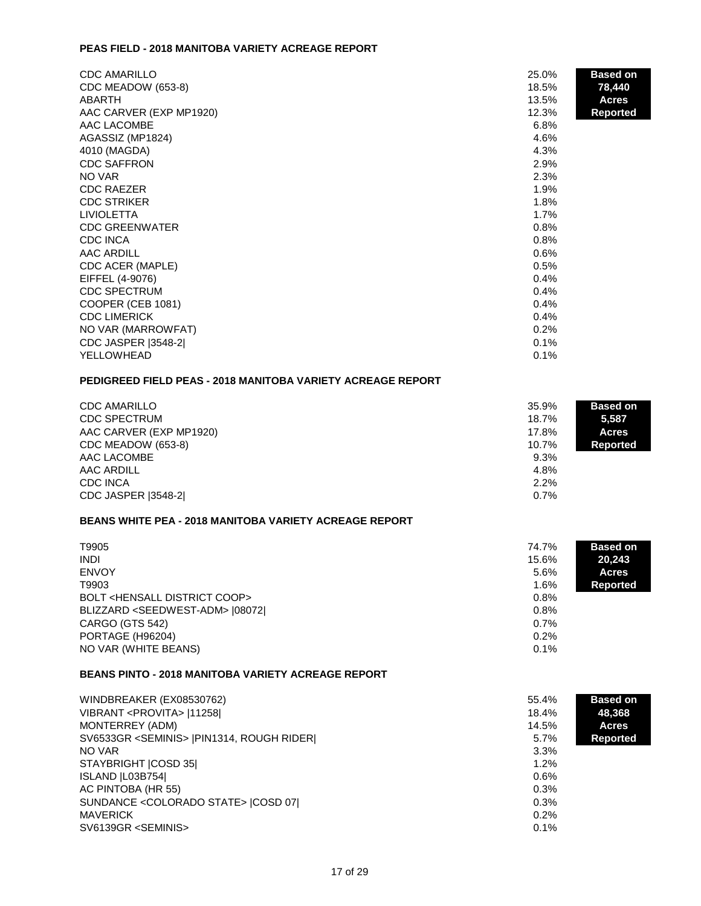#### **PEAS FIELD - 2018 MANITOBA VARIETY ACREAGE REPORT**

| <b>CDC AMARILLO</b>        | 25.0% | <b>Based on</b> |
|----------------------------|-------|-----------------|
| CDC MEADOW (653-8)         | 18.5% | 78,440          |
| ABARTH                     | 13.5% | <b>Acres</b>    |
| AAC CARVER (EXP MP1920)    | 12.3% | <b>Reported</b> |
| AAC LACOMBE                | 6.8%  |                 |
| AGASSIZ (MP1824)           | 4.6%  |                 |
| 4010 (MAGDA)               | 4.3%  |                 |
| <b>CDC SAFFRON</b>         | 2.9%  |                 |
| NO VAR                     | 2.3%  |                 |
| <b>CDC RAEZER</b>          | 1.9%  |                 |
| <b>CDC STRIKER</b>         | 1.8%  |                 |
| <b>LIVIOLETTA</b>          | 1.7%  |                 |
| <b>CDC GREENWATER</b>      | 0.8%  |                 |
| <b>CDC INCA</b>            | 0.8%  |                 |
| AAC ARDILL                 | 0.6%  |                 |
| CDC ACER (MAPLE)           | 0.5%  |                 |
| EIFFEL (4-9076)            | 0.4%  |                 |
| <b>CDC SPECTRUM</b>        | 0.4%  |                 |
| COOPER (CEB 1081)          | 0.4%  |                 |
| <b>CDC LIMERICK</b>        | 0.4%  |                 |
| NO VAR (MARROWFAT)         | 0.2%  |                 |
| <b>CDC JASPER [3548-2]</b> | 0.1%  |                 |
| YELLOWHEAD                 | 0.1%  |                 |

# **PEDIGREED FIELD PEAS - 2018 MANITOBA VARIETY ACREAGE REPORT**

| <b>CDC AMARILLO</b><br><b>CDC SPECTRUM</b><br>AAC CARVER (EXP MP1920)<br>CDC MEADOW (653-8)<br>AAC LACOMBE<br>AAC ARDILL<br><b>CDC INCA</b> | 35.9%<br>18.7%<br>17.8%<br>10.7%<br>9.3%<br>4.8%<br>2.2% | <b>Based on</b><br>5,587<br><b>Acres</b><br>Reported |
|---------------------------------------------------------------------------------------------------------------------------------------------|----------------------------------------------------------|------------------------------------------------------|
| <b>CDC JASPER (3548-2)</b>                                                                                                                  | 0.7%                                                     |                                                      |

# **BEANS WHITE PEA - 2018 MANITOBA VARIETY ACREAGE REPORT**

| T9905                                          | 74.7% | <b>Based on</b> |
|------------------------------------------------|-------|-----------------|
| <b>INDI</b>                                    | 15.6% | 20,243          |
| <b>ENVOY</b>                                   | 5.6%  | <b>Acres</b>    |
| T9903                                          | 1.6%  | Reported        |
| BOLT <hensall coop="" district=""></hensall>   | 0.8%  |                 |
| BLIZZARD <seedwest-adm> [08072]</seedwest-adm> | 0.8%  |                 |
| CARGO (GTS 542)                                | 0.7%  |                 |
| PORTAGE (H96204)                               | 0.2%  |                 |
| NO VAR (WHITE BEANS)                           | 0.1%  |                 |

# **BEANS PINTO - 2018 MANITOBA VARIETY ACREAGE REPORT**

| WINDBREAKER (EX08530762)                            | 55.4% | <b>Based on</b> |
|-----------------------------------------------------|-------|-----------------|
| VIBRANT <provita>  11258 </provita>                 | 18.4% | 48,368          |
| MONTERREY (ADM)                                     | 14.5% | Acres           |
| SV6533GR <seminis>  PIN1314, ROUGH RIDER </seminis> | 5.7%  | <b>Reported</b> |
| NO VAR                                              | 3.3%  |                 |
| STAYBRIGHT ICOSD 351                                | 1.2%  |                 |
| ISLAND   L03B754                                    | 0.6%  |                 |
| AC PINTOBA (HR 55)                                  | 0.3%  |                 |
| SUNDANCE < COLORADO STATE >   COSD 07               | 0.3%  |                 |
| <b>MAVERICK</b>                                     | 0.2%  |                 |
| SV6139GR <seminis></seminis>                        | 0.1%  |                 |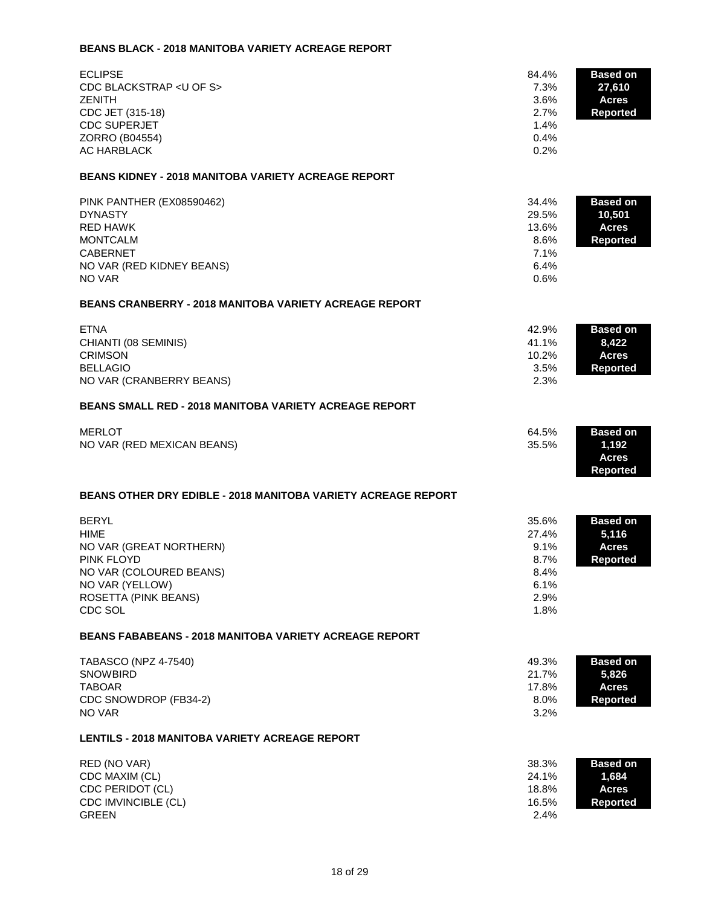# **BEANS BLACK - 2018 MANITOBA VARIETY ACREAGE REPORT**

| <b>ECLIPSE</b><br>CDC BLACKSTRAP < U OF S><br><b>ZENITH</b><br>CDC JET (315-18)<br><b>CDC SUPERJET</b><br>ZORRO (B04554)<br><b>AC HARBLACK</b><br><b>BEANS KIDNEY - 2018 MANITOBA VARIETY ACREAGE REPORT</b><br>PINK PANTHER (EX08590462) | 84.4%<br>7.3%<br>3.6%<br>2.7%<br>1.4%<br>0.4%<br>0.2%<br>34.4% | <b>Based on</b><br>27,610<br><b>Acres</b><br>Reported<br><b>Based on</b> |
|-------------------------------------------------------------------------------------------------------------------------------------------------------------------------------------------------------------------------------------------|----------------------------------------------------------------|--------------------------------------------------------------------------|
| <b>DYNASTY</b><br><b>RED HAWK</b><br><b>MONTCALM</b><br><b>CABERNET</b><br>NO VAR (RED KIDNEY BEANS)<br>NO VAR                                                                                                                            | 29.5%<br>13.6%<br>8.6%<br>7.1%<br>6.4%<br>0.6%                 | 10,501<br><b>Acres</b><br><b>Reported</b>                                |
| <b>BEANS CRANBERRY - 2018 MANITOBA VARIETY ACREAGE REPORT</b>                                                                                                                                                                             |                                                                |                                                                          |
| <b>ETNA</b><br>CHIANTI (08 SEMINIS)<br><b>CRIMSON</b><br><b>BELLAGIO</b><br>NO VAR (CRANBERRY BEANS)                                                                                                                                      | 42.9%<br>41.1%<br>10.2%<br>3.5%<br>2.3%                        | <b>Based on</b><br>8,422<br><b>Acres</b><br><b>Reported</b>              |
| <b>BEANS SMALL RED - 2018 MANITOBA VARIETY ACREAGE REPORT</b>                                                                                                                                                                             |                                                                |                                                                          |
| <b>MERLOT</b><br>NO VAR (RED MEXICAN BEANS)                                                                                                                                                                                               | 64.5%<br>35.5%                                                 | <b>Based on</b><br>1,192<br><b>Acres</b><br><b>Reported</b>              |
| <b>BEANS OTHER DRY EDIBLE - 2018 MANITOBA VARIETY ACREAGE REPORT</b>                                                                                                                                                                      |                                                                |                                                                          |
| <b>BERYL</b><br><b>HIME</b><br>NO VAR (GREAT NORTHERN)<br><b>PINK FLOYD</b><br>NO VAR (COLOURED BEANS)<br>NO VAR (YELLOW)<br>ROSETTA (PINK BEANS)<br>CDC SOL                                                                              | 35.6%<br>27.4%<br>9.1%<br>8.7%<br>8.4%<br>6.1%<br>2.9%<br>1.8% | <b>Based on</b><br>5,116<br><b>Acres</b><br><b>Reported</b>              |
| <b>BEANS FABABEANS - 2018 MANITOBA VARIETY ACREAGE REPORT</b>                                                                                                                                                                             |                                                                |                                                                          |
| <b>TABASCO (NPZ 4-7540)</b><br><b>SNOWBIRD</b><br><b>TABOAR</b><br>CDC SNOWDROP (FB34-2)<br>NO VAR                                                                                                                                        | 49.3%<br>21.7%<br>17.8%<br>8.0%<br>3.2%                        | <b>Based on</b><br>5,826<br><b>Acres</b><br><b>Reported</b>              |
| <b>LENTILS - 2018 MANITOBA VARIETY ACREAGE REPORT</b>                                                                                                                                                                                     |                                                                |                                                                          |
| RED (NO VAR)<br>CDC MAXIM (CL)<br>CDC PERIDOT (CL)<br>CDC IMVINCIBLE (CL)<br><b>GREEN</b>                                                                                                                                                 | 38.3%<br>24.1%<br>18.8%<br>16.5%<br>2.4%                       | <b>Based on</b><br>1,684<br><b>Acres</b><br><b>Reported</b>              |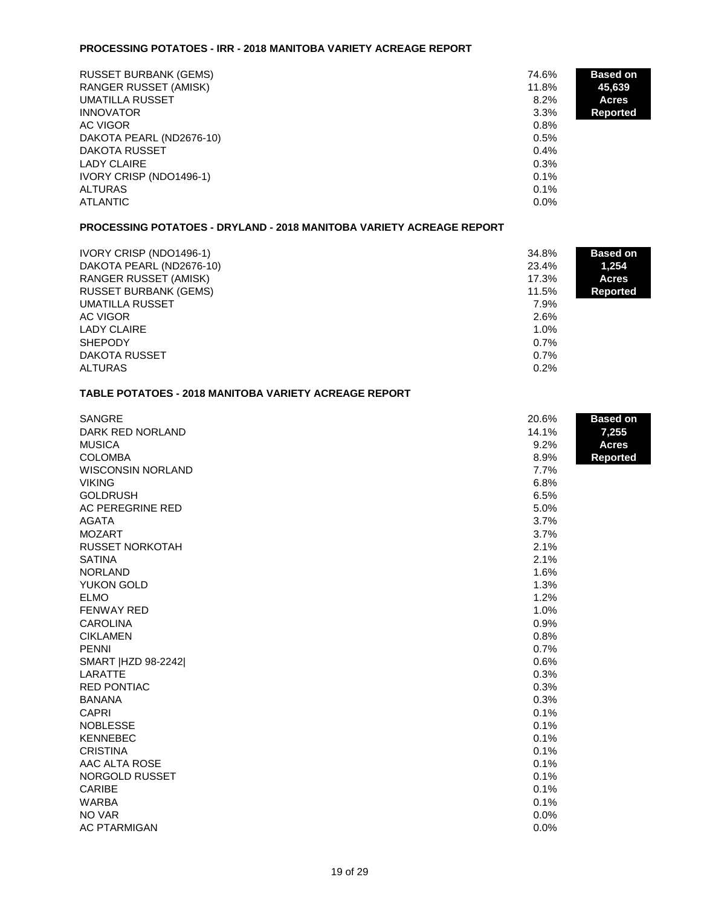#### **PROCESSING POTATOES - IRR - 2018 MANITOBA VARIETY ACREAGE REPORT**

| <b>RUSSET BURBANK (GEMS)</b> | 74.6%   | <b>Based on</b> |
|------------------------------|---------|-----------------|
| RANGER RUSSET (AMISK)        | 11.8%   | 45,639          |
| <b>UMATILLA RUSSET</b>       | $8.2\%$ | <b>Acres</b>    |
| <b>INNOVATOR</b>             | 3.3%    | Reported        |
| AC VIGOR                     | $0.8\%$ |                 |
| DAKOTA PEARL (ND2676-10)     | 0.5%    |                 |
| DAKOTA RUSSET                | $0.4\%$ |                 |
| <b>LADY CLAIRE</b>           | 0.3%    |                 |
| IVORY CRISP (NDO1496-1)      | 0.1%    |                 |
| <b>ALTURAS</b>               | 0.1%    |                 |
| ATLANTIC                     | $0.0\%$ |                 |

## **PROCESSING POTATOES - DRYLAND - 2018 MANITOBA VARIETY ACREAGE REPORT**

| IVORY CRISP (NDO1496-1)      | 34.8%   | <b>Based on</b> |
|------------------------------|---------|-----------------|
| DAKOTA PEARL (ND2676-10)     | 23.4%   | 1,254           |
| RANGER RUSSET (AMISK)        | 17.3%   | <b>Acres</b>    |
| <b>RUSSET BURBANK (GEMS)</b> | 11.5%   | <b>Reported</b> |
| UMATILLA RUSSET              | 7.9%    |                 |
| AC VIGOR                     | 2.6%    |                 |
| <b>LADY CLAIRE</b>           | $1.0\%$ |                 |
| <b>SHEPODY</b>               | 0.7%    |                 |
| DAKOTA RUSSET                | 0.7%    |                 |
| <b>ALTURAS</b>               | 0.2%    |                 |

# **TABLE POTATOES - 2018 MANITOBA VARIETY ACREAGE REPORT**

| <b>SANGRE</b>            | 20.6% | <b>Based on</b> |
|--------------------------|-------|-----------------|
| DARK RED NORLAND         | 14.1% | 7,255           |
| <b>MUSICA</b>            | 9.2%  | <b>Acres</b>    |
| <b>COLOMBA</b>           | 8.9%  | <b>Reported</b> |
| <b>WISCONSIN NORLAND</b> | 7.7%  |                 |
| <b>VIKING</b>            | 6.8%  |                 |
| <b>GOLDRUSH</b>          | 6.5%  |                 |
| AC PEREGRINE RED         | 5.0%  |                 |
| <b>AGATA</b>             | 3.7%  |                 |
| <b>MOZART</b>            | 3.7%  |                 |
| RUSSET NORKOTAH          | 2.1%  |                 |
| <b>SATINA</b>            | 2.1%  |                 |
| <b>NORLAND</b>           | 1.6%  |                 |
| YUKON GOLD               | 1.3%  |                 |
| <b>ELMO</b>              | 1.2%  |                 |
| FENWAY RED               | 1.0%  |                 |
| <b>CAROLINA</b>          | 0.9%  |                 |
| <b>CIKLAMEN</b>          | 0.8%  |                 |
| <b>PENNI</b>             | 0.7%  |                 |
| SMART   HZD 98-2242      | 0.6%  |                 |
| LARATTE                  | 0.3%  |                 |
| <b>RED PONTIAC</b>       | 0.3%  |                 |
| <b>BANANA</b>            | 0.3%  |                 |
| <b>CAPRI</b>             | 0.1%  |                 |
| <b>NOBLESSE</b>          | 0.1%  |                 |
| <b>KENNEBEC</b>          | 0.1%  |                 |
| <b>CRISTINA</b>          | 0.1%  |                 |
| AAC ALTA ROSE            | 0.1%  |                 |
| NORGOLD RUSSET           | 0.1%  |                 |
| <b>CARIBE</b>            | 0.1%  |                 |
| <b>WARBA</b>             | 0.1%  |                 |
| NO VAR                   | 0.0%  |                 |
| <b>AC PTARMIGAN</b>      | 0.0%  |                 |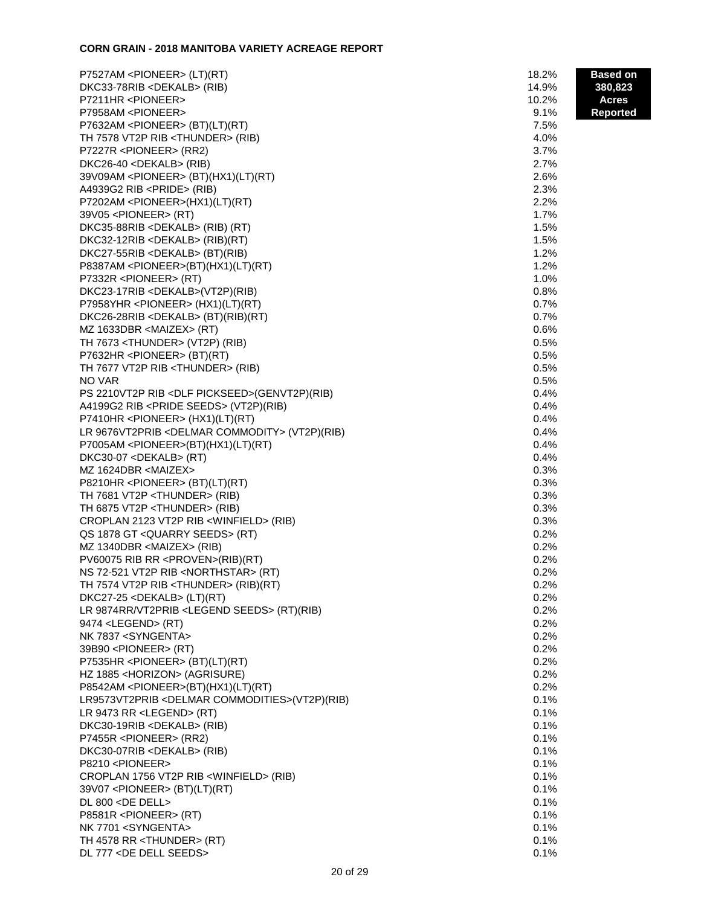# **CORN GRAIN - 2018 MANITOBA VARIETY ACREAGE REPORT**

| P7527AM <pioneer> (LT)(RT)</pioneer>                      | 18.2% | <b>Based on</b> |
|-----------------------------------------------------------|-------|-----------------|
| DKC33-78RIB <dekalb> (RIB)</dekalb>                       | 14.9% | 380,823         |
| P7211HR <pioneer></pioneer>                               | 10.2% | <b>Acres</b>    |
| P7958AM <pioneer></pioneer>                               | 9.1%  | <b>Reported</b> |
| P7632AM <pioneer> (BT)(LT)(RT)</pioneer>                  | 7.5%  |                 |
| TH 7578 VT2P RIB <thunder> (RIB)</thunder>                | 4.0%  |                 |
| P7227R <pioneer> (RR2)</pioneer>                          | 3.7%  |                 |
| DKC26-40 <dekalb> (RIB)</dekalb>                          | 2.7%  |                 |
| 39V09AM <pioneer> (BT)(HX1)(LT)(RT)</pioneer>             | 2.6%  |                 |
| A4939G2 RIB <pride> (RIB)</pride>                         | 2.3%  |                 |
| P7202AM <pioneer>(HX1)(LT)(RT)</pioneer>                  | 2.2%  |                 |
| 39V05 <pioneer> (RT)</pioneer>                            | 1.7%  |                 |
| DKC35-88RIB <dekalb> (RIB) (RT)</dekalb>                  | 1.5%  |                 |
| DKC32-12RIB <dekalb> (RIB)(RT)</dekalb>                   | 1.5%  |                 |
| DKC27-55RIB <dekalb> (BT)(RIB)</dekalb>                   | 1.2%  |                 |
| P8387AM <pioneer>(BT)(HX1)(LT)(RT)</pioneer>              | 1.2%  |                 |
| P7332R <pioneer> (RT)</pioneer>                           | 1.0%  |                 |
| DKC23-17RIB <dekalb>(VT2P)(RIB)</dekalb>                  | 0.8%  |                 |
| P7958YHR <pioneer> (HX1)(LT)(RT)</pioneer>                | 0.7%  |                 |
| DKC26-28RIB <dekalb> (BT)(RIB)(RT)</dekalb>               | 0.7%  |                 |
|                                                           |       |                 |
| MZ 1633DBR <maizex> (RT)</maizex>                         | 0.6%  |                 |
| TH 7673 <thunder> (VT2P) (RIB)</thunder>                  | 0.5%  |                 |
| P7632HR <pioneer> (BT)(RT)</pioneer>                      | 0.5%  |                 |
| TH 7677 VT2P RIB <thunder> (RIB)</thunder>                | 0.5%  |                 |
| NO VAR                                                    | 0.5%  |                 |
| PS 2210VT2P RIB <dlf pickseed="">(GENVT2P)(RIB)</dlf>     | 0.4%  |                 |
| A4199G2 RIB <pride seeds=""> (VT2P)(RIB)</pride>          | 0.4%  |                 |
| P7410HR <pioneer> (HX1)(LT)(RT)</pioneer>                 | 0.4%  |                 |
| LR 9676VT2PRIB <delmar commodity=""> (VT2P)(RIB)</delmar> | 0.4%  |                 |
| P7005AM <pioneer>(BT)(HX1)(LT)(RT)</pioneer>              | 0.4%  |                 |
| DKC30-07 <dekalb> (RT)</dekalb>                           | 0.4%  |                 |
| MZ 1624DBR <maizex></maizex>                              | 0.3%  |                 |
| P8210HR <pioneer> (BT)(LT)(RT)</pioneer>                  | 0.3%  |                 |
| TH 7681 VT2P <thunder> (RIB)</thunder>                    | 0.3%  |                 |
| TH 6875 VT2P <thunder> (RIB)</thunder>                    | 0.3%  |                 |
| CROPLAN 2123 VT2P RIB < WINFIELD> (RIB)                   | 0.3%  |                 |
| QS 1878 GT <quarry seeds=""> (RT)</quarry>                | 0.2%  |                 |
| MZ 1340DBR <maizex> (RIB)</maizex>                        | 0.2%  |                 |
| PV60075 RIB RR <proven>(RIB)(RT)</proven>                 | 0.2%  |                 |
| NS 72-521 VT2P RIB <northstar> (RT)</northstar>           | 0.2%  |                 |
| TH 7574 VT2P RIB <thunder> (RIB)(RT)</thunder>            | 0.2%  |                 |
| DKC27-25 <dekalb> (LT)(RT)</dekalb>                       | 0.2%  |                 |
| LR 9874RR/VT2PRIB <legend seeds=""> (RT)(RIB)</legend>    | 0.2%  |                 |
| 9474 <legend> (RT)</legend>                               | 0.2%  |                 |
| NK 7837 <syngenta></syngenta>                             | 0.2%  |                 |
| 39B90 <pioneer> (RT)</pioneer>                            | 0.2%  |                 |
| P7535HR <pioneer> (BT)(LT)(RT)</pioneer>                  | 0.2%  |                 |
| HZ 1885 <horizon> (AGRISURE)</horizon>                    | 0.2%  |                 |
| P8542AM <pioneer>(BT)(HX1)(LT)(RT)</pioneer>              | 0.2%  |                 |
| LR9573VT2PRIB <delmar commodities="">(VT2P)(RIB)</delmar> | 0.1%  |                 |
| LR 9473 RR <legend> (RT)</legend>                         | 0.1%  |                 |
| DKC30-19RIB <dekalb> (RIB)</dekalb>                       | 0.1%  |                 |
| P7455R <pioneer> (RR2)</pioneer>                          | 0.1%  |                 |
| DKC30-07RIB <dekalb> (RIB)</dekalb>                       | 0.1%  |                 |
| P8210 <pioneer></pioneer>                                 | 0.1%  |                 |
| CROPLAN 1756 VT2P RIB <winfield> (RIB)</winfield>         | 0.1%  |                 |
| 39V07 <pioneer> (BT)(LT)(RT)</pioneer>                    | 0.1%  |                 |
| DL 800 <de dell=""></de>                                  | 0.1%  |                 |
| P8581R <pioneer> (RT)</pioneer>                           | 0.1%  |                 |
| NK 7701 <syngenta></syngenta>                             | 0.1%  |                 |
| TH 4578 RR <thunder> (RT)</thunder>                       | 0.1%  |                 |
| DL 777 <de dell="" seeds=""></de>                         | 0.1%  |                 |
|                                                           |       |                 |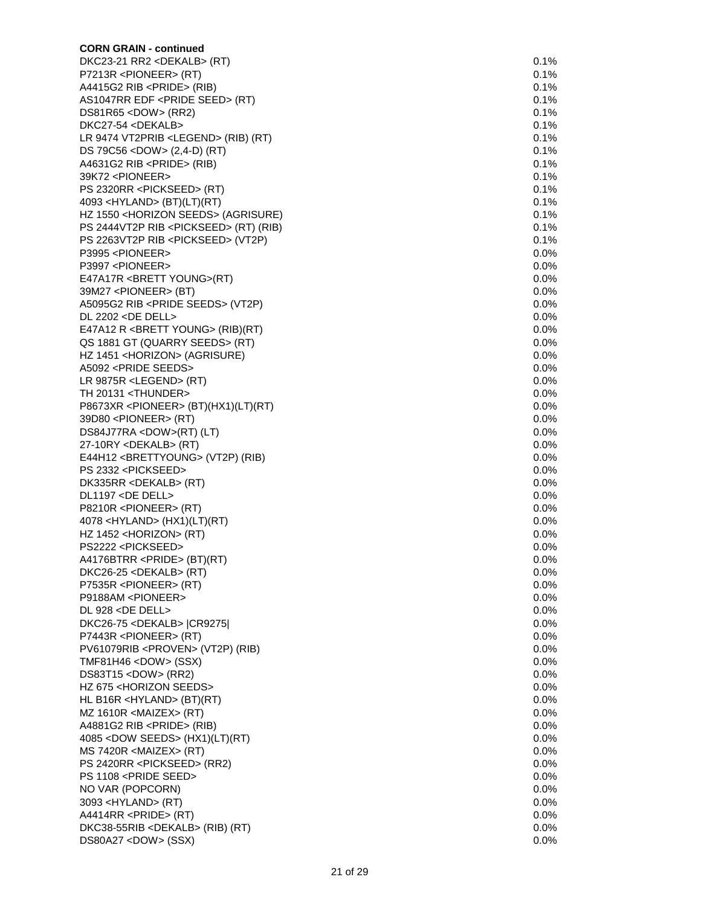| <b>CORN GRAIN - continued</b>                            |         |
|----------------------------------------------------------|---------|
| DKC23-21 RR2 <dekalb> (RT)</dekalb>                      | 0.1%    |
| P7213R <pioneer> (RT)</pioneer>                          | 0.1%    |
| A4415G2 RIB <pride> (RIB)</pride>                        | 0.1%    |
| AS1047RR EDF <pride seed=""> (RT)</pride>                | 0.1%    |
| $DS81R65 <$ DOW $>$ (RR2)                                | 0.1%    |
| DKC27-54 <dekalb></dekalb>                               | 0.1%    |
| LR 9474 VT2PRIB <legend> (RIB) (RT)</legend>             | 0.1%    |
| DS 79C56 <dow> (2,4-D) (RT)</dow>                        | 0.1%    |
| A4631G2 RIB <pride> (RIB)</pride>                        | 0.1%    |
| 39K72 <pioneer></pioneer>                                | 0.1%    |
| PS 2320RR <pickseed> (RT)</pickseed>                     | 0.1%    |
| 4093 <hyland> (BT)(LT)(RT)</hyland>                      | 0.1%    |
| HZ 1550 <horizon seeds=""> (AGRISURE)</horizon>          | 0.1%    |
| PS 2444VT2P RIB <pickseed> (RT) (RIB)</pickseed>         | 0.1%    |
| PS 2263VT2P RIB <pickseed> (VT2P)</pickseed>             | 0.1%    |
| P3995 <pioneer></pioneer>                                | 0.0%    |
| P3997 <pioneer></pioneer>                                | 0.0%    |
| E47A17R <brett young="">(RT)</brett>                     | 0.0%    |
| 39M27 <pioneer> (BT)</pioneer>                           | 0.0%    |
| A5095G2 RIB <pride seeds=""> (VT2P)</pride>              | 0.0%    |
| DL 2202 <de dell=""></de>                                | 0.0%    |
| E47A12 R <brett young=""> (RIB)(RT)</brett>              | 0.0%    |
| QS 1881 GT (QUARRY SEEDS> (RT)                           | 0.0%    |
| HZ 1451 <horizon> (AGRISURE)</horizon>                   | 0.0%    |
| A5092 <pride seeds=""></pride>                           | 0.0%    |
| LR 9875R <legend> (RT)</legend>                          | 0.0%    |
| TH 20131 <thunder></thunder>                             | 0.0%    |
| P8673XR <pioneer> (BT)(HX1)(LT)(RT)</pioneer>            | 0.0%    |
| 39D80 <pioneer> (RT)</pioneer>                           | 0.0%    |
| DS84J77RA <dow>(RT) (LT)</dow>                           | 0.0%    |
| 27-10RY <dekalb> (RT)</dekalb>                           | 0.0%    |
| E44H12 <brettyoung> (VT2P) (RIB)</brettyoung>            | 0.0%    |
| PS 2332 <pickseed></pickseed>                            | 0.0%    |
| DK335RR <dekalb> (RT)</dekalb>                           | 0.0%    |
| DL1197 <de dell=""></de>                                 | 0.0%    |
| P8210R <pioneer> (RT)</pioneer>                          | 0.0%    |
| 4078 < HYLAND > (HX1)(LT)(RT)                            | 0.0%    |
| HZ $1452$ <horizon> (RT)</horizon>                       | 0.0%    |
| PS2222 <pickseed></pickseed>                             | 0.0%    |
| A4176BTRR <pride> (BT)(RT)</pride>                       | 0.0%    |
| DKC26-25 <dekalb> (RT)</dekalb>                          | 0.0%    |
|                                                          | 0.0%    |
| P7535R <pioneer> (RT)</pioneer>                          |         |
| P9188AM <pioneer><br/>DL 928 <de dell=""></de></pioneer> | 0.0%    |
|                                                          | 0.0%    |
| DKC26-75 <dekalb>  CR9275 </dekalb>                      | 0.0%    |
| P7443R <pioneer> (RT)</pioneer>                          | 0.0%    |
| PV61079RIB <proven> (VT2P) (RIB)</proven>                | 0.0%    |
| TMF81H46 <dow> (SSX)</dow>                               | 0.0%    |
| DS83T15 <dow> (RR2)</dow>                                | 0.0%    |
| HZ 675 <horizon seeds=""></horizon>                      | 0.0%    |
| HL B16R <hyland> <math>(BT)(RT)</math></hyland>          | 0.0%    |
| MZ 1610R <maizex> (RT)</maizex>                          | 0.0%    |
| A4881G2 RIB <pride> (RIB)</pride>                        | 0.0%    |
| 4085 < DOW SEEDS > (HX1)(LT)(RT)                         | 0.0%    |
| MS 7420R <maizex> (RT)</maizex>                          | 0.0%    |
| PS 2420RR <pickseed> (RR2)</pickseed>                    | 0.0%    |
| PS 1108 <pride seed=""></pride>                          | 0.0%    |
| NO VAR (POPCORN)                                         | $0.0\%$ |
| 3093 <hyland> (RT)</hyland>                              | 0.0%    |
| A4414RR <pride> (RT)</pride>                             | 0.0%    |
| DKC38-55RIB <dekalb> (RIB) (RT)</dekalb>                 | 0.0%    |
| DS80A27 <dow> (SSX)</dow>                                | 0.0%    |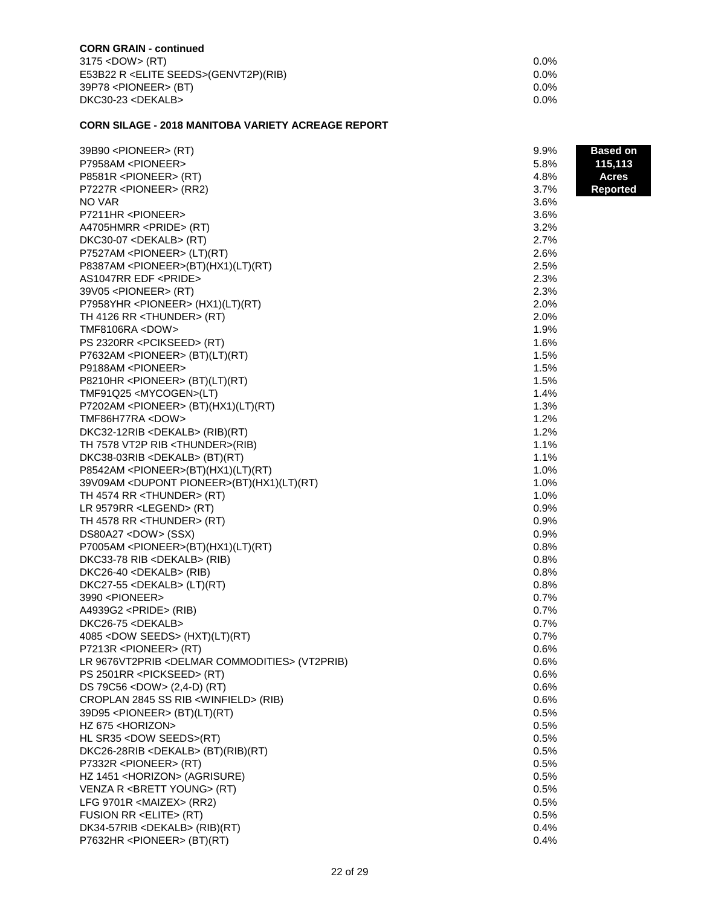| 0.0%    |
|---------|
| $0.0\%$ |
| $0.0\%$ |
| 0.0%    |
|         |

## **CORN SILAGE - 2018 MANITOBA VARIETY ACREAGE REPORT**

| 39B90 <pioneer> (RT)</pioneer>                            | 9.9% | <b>Based on</b> |
|-----------------------------------------------------------|------|-----------------|
| P7958AM <pioneer></pioneer>                               | 5.8% | 115,113         |
| P8581R <pioneer> (RT)</pioneer>                           | 4.8% | <b>Acres</b>    |
| P7227R <pioneer> (RR2)</pioneer>                          | 3.7% | <b>Reported</b> |
| NO VAR                                                    | 3.6% |                 |
| P7211HR <pioneer></pioneer>                               | 3.6% |                 |
| A4705HMRR <pride> (RT)</pride>                            | 3.2% |                 |
| DKC30-07 <dekalb> (RT)</dekalb>                           | 2.7% |                 |
| P7527AM <pioneer> (LT)(RT)</pioneer>                      | 2.6% |                 |
| P8387AM <pioneer>(BT)(HX1)(LT)(RT)</pioneer>              | 2.5% |                 |
| AS1047RR EDF <pride></pride>                              | 2.3% |                 |
| 39V05 <pioneer> (RT)</pioneer>                            | 2.3% |                 |
| P7958YHR <pioneer> (HX1)(LT)(RT)</pioneer>                | 2.0% |                 |
| TH 4126 RR <thunder> (RT)</thunder>                       | 2.0% |                 |
| TMF8106RA <dow></dow>                                     | 1.9% |                 |
| PS 2320RR <pcikseed> (RT)</pcikseed>                      | 1.6% |                 |
| P7632AM <pioneer> (BT)(LT)(RT)</pioneer>                  | 1.5% |                 |
| P9188AM <pioneer></pioneer>                               | 1.5% |                 |
| P8210HR <pioneer> (BT)(LT)(RT)</pioneer>                  | 1.5% |                 |
| TMF91Q25 <mycogen>(LT)</mycogen>                          | 1.4% |                 |
| P7202AM <pioneer> (BT)(HX1)(LT)(RT)</pioneer>             | 1.3% |                 |
| TMF86H77RA <dow></dow>                                    | 1.2% |                 |
| DKC32-12RIB <dekalb> (RIB)(RT)</dekalb>                   | 1.2% |                 |
| TH 7578 VT2P RIB <thunder>(RIB)</thunder>                 | 1.1% |                 |
| DKC38-03RIB <dekalb> (BT)(RT)</dekalb>                    | 1.1% |                 |
| P8542AM <pioneer>(BT)(HX1)(LT)(RT)</pioneer>              | 1.0% |                 |
| 39V09AM <dupont pioneer="">(BT)(HX1)(LT)(RT)</dupont>     | 1.0% |                 |
| TH 4574 RR <thunder> (RT)</thunder>                       | 1.0% |                 |
| LR 9579RR <legend> (RT)</legend>                          | 0.9% |                 |
| TH 4578 RR <thunder> (RT)</thunder>                       | 0.9% |                 |
| DS80A27 <dow> (SSX)</dow>                                 | 0.9% |                 |
| P7005AM <pioneer>(BT)(HX1)(LT)(RT)</pioneer>              | 0.8% |                 |
| DKC33-78 RIB <dekalb> (RIB)</dekalb>                      | 0.8% |                 |
| DKC26-40 <dekalb> (RIB)</dekalb>                          | 0.8% |                 |
| DKC27-55 <dekalb> (LT)(RT)</dekalb>                       | 0.8% |                 |
| 3990 <pioneer></pioneer>                                  | 0.7% |                 |
| A4939G2 <pride> (RIB)</pride>                             | 0.7% |                 |
| DKC26-75 <dekalb></dekalb>                                | 0.7% |                 |
| 4085 < DOW SEEDS > (HXT)(LT)(RT)                          | 0.7% |                 |
| P7213R <pioneer> (RT)</pioneer>                           | 0.6% |                 |
| LR 9676VT2PRIB <delmar commodities=""> (VT2PRIB)</delmar> | 0.6% |                 |
| PS 2501RR <pickseed> (RT)</pickseed>                      | 0.6% |                 |
| DS 79C56 <dow> (2,4-D) (RT)</dow>                         | 0.6% |                 |
| CROPLAN 2845 SS RIB <winfield> (RIB)</winfield>           | 0.6% |                 |
| 39D95 <pioneer> (BT)(LT)(RT)</pioneer>                    | 0.5% |                 |
| HZ 675 <horizon></horizon>                                | 0.5% |                 |
| HL SR35 <dow seeds="">(RT)</dow>                          | 0.5% |                 |
| DKC26-28RIB <dekalb> (BT)(RIB)(RT)</dekalb>               | 0.5% |                 |
| P7332R <pioneer> (RT)</pioneer>                           | 0.5% |                 |
| HZ 1451 <horizon> (AGRISURE)</horizon>                    | 0.5% |                 |
| VENZA R <brett young=""> (RT)</brett>                     | 0.5% |                 |
| LFG 9701R <maizex> (RR2)</maizex>                         | 0.5% |                 |
| FUSION RR <elite> (RT)</elite>                            | 0.5% |                 |
| DK34-57RIB <dekalb> (RIB)(RT)</dekalb>                    | 0.4% |                 |
| P7632HR <pioneer> (BT)(RT)</pioneer>                      | 0.4% |                 |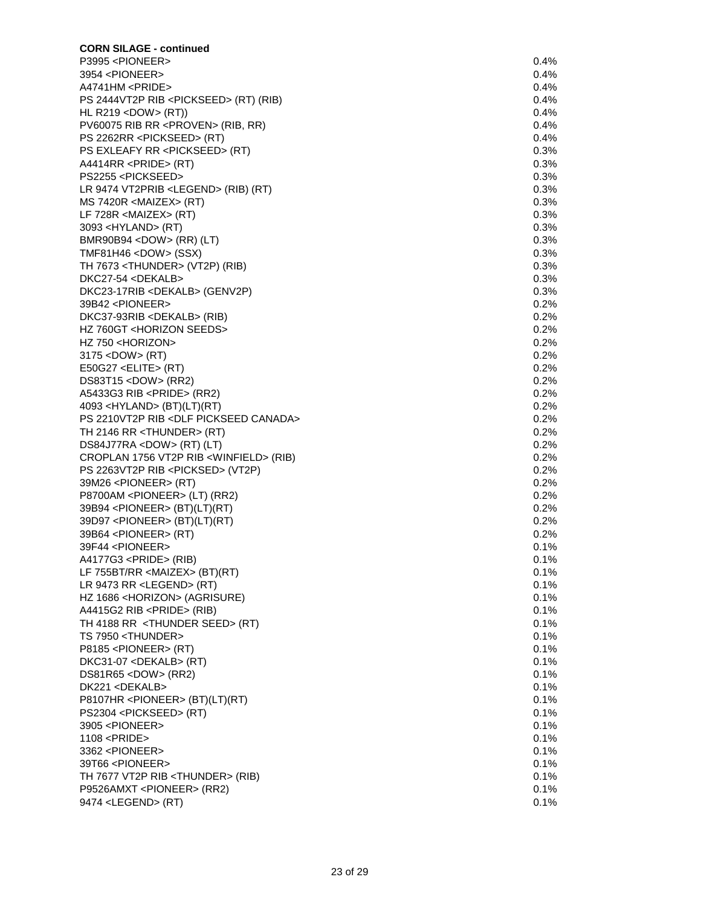| <b>CORN SILAGE - continued</b>                    |         |
|---------------------------------------------------|---------|
| P3995 <pioneer></pioneer>                         | $0.4\%$ |
| 3954 <pioneer></pioneer>                          | $0.4\%$ |
| A4741HM <pride></pride>                           | $0.4\%$ |
| PS 2444VT2P RIB <pickseed> (RT) (RIB)</pickseed>  | 0.4%    |
| HL R219 < DOW > $(RT)$ )                          | $0.4\%$ |
| PV60075 RIB RR <proven> (RIB, RR)</proven>        | 0.4%    |
| PS 2262RR <pickseed> (RT)</pickseed>              | 0.4%    |
| PS EXLEAFY RR <pickseed> (RT)</pickseed>          | 0.3%    |
| A4414RR <pride> (RT)</pride>                      | 0.3%    |
| PS2255 <pickseed></pickseed>                      | 0.3%    |
| LR 9474 VT2PRIB <legend> (RIB) (RT)</legend>      | 0.3%    |
| MS 7420R <maizex> (RT)</maizex>                   | 0.3%    |
| LF $728R$ <maizex> (RT)</maizex>                  | 0.3%    |
| 3093 <hyland> (RT)</hyland>                       | 0.3%    |
| BMR90B94 <dow> (RR) (LT)</dow>                    | 0.3%    |
| TMF81H46 <dow> (SSX)</dow>                        | 0.3%    |
| TH 7673 <thunder> (VT2P) (RIB)</thunder>          | 0.3%    |
| DKC27-54 <dekalb></dekalb>                        | 0.3%    |
| DKC23-17RIB <dekalb> (GENV2P)</dekalb>            | 0.3%    |
| 39B42 <pioneer></pioneer>                         | 0.2%    |
| DKC37-93RIB <dekalb> (RIB)</dekalb>               | 0.2%    |
| HZ 760GT <horizon seeds=""></horizon>             | 0.2%    |
| HZ 750 <horizon></horizon>                        | 0.2%    |
| 3175 < DOW > (RT)                                 | $0.2\%$ |
| E50G27 <elite> (RT)</elite>                       | 0.2%    |
| DS83T15 <dow> (RR2)</dow>                         | 0.2%    |
| A5433G3 RIB <pride> (RR2)</pride>                 | 0.2%    |
| 4093 < HYLAND > (BT)(LT)(RT)                      | 0.2%    |
| PS 2210VT2P RIB <dlf canada="" pickseed=""></dlf> | 0.2%    |
| TH 2146 RR <thunder> (RT)</thunder>               | 0.2%    |
| DS84J77RA <dow> (RT) (LT)</dow>                   | 0.2%    |
| CROPLAN 1756 VT2P RIB <winfield> (RIB)</winfield> | 0.2%    |
| PS 2263VT2P RIB <picksed> (VT2P)</picksed>        | 0.2%    |
| 39M26 <pioneer> (RT)</pioneer>                    | 0.2%    |
| P8700AM <pioneer> (LT) (RR2)</pioneer>            | 0.2%    |
| 39B94 <pioneer> (BT)(LT)(RT)</pioneer>            | 0.2%    |
| 39D97 <pioneer> (BT)(LT)(RT)</pioneer>            | 0.2%    |
| 39B64 <pioneer> (RT)</pioneer>                    | 0.2%    |
| 39F44 <pioneer></pioneer>                         | 0.1%    |
| A4177G3 <pride> (RIB)</pride>                     | 0.1%    |
| LF 755BT/RR <maizex> (BT)(RT)</maizex>            | 0.1%    |
| LR 9473 RR <legend> (RT)</legend>                 | 0.1%    |
| HZ 1686 <horizon> (AGRISURE)</horizon>            | 0.1%    |
| A4415G2 RIB <pride> (RIB)</pride>                 | 0.1%    |
| TH 4188 RR <thunder seed=""> (RT)</thunder>       | 0.1%    |
| TS 7950 <thunder></thunder>                       | 0.1%    |
| P8185 <pioneer> (RT)</pioneer>                    | 0.1%    |
| DKC31-07 <dekalb> (RT)</dekalb>                   | 0.1%    |
| $DS81R65 <$ DOW $>$ (RR2)                         | 0.1%    |
| DK221 <dekalb></dekalb>                           | 0.1%    |
| P8107HR <pioneer> (BT)(LT)(RT)</pioneer>          | 0.1%    |
| PS2304 <pickseed> (RT)</pickseed>                 | 0.1%    |
| 3905 <pioneer></pioneer>                          | 0.1%    |
| 1108 <pride></pride>                              | 0.1%    |
| 3362 <pioneer></pioneer>                          | 0.1%    |
| 39T66 <pioneer></pioneer>                         | 0.1%    |
| TH 7677 VT2P RIB <thunder> (RIB)</thunder>        | 0.1%    |
| P9526AMXT <pioneer> (RR2)</pioneer>               | 0.1%    |
| 9474 <legend> (RT)</legend>                       | 0.1%    |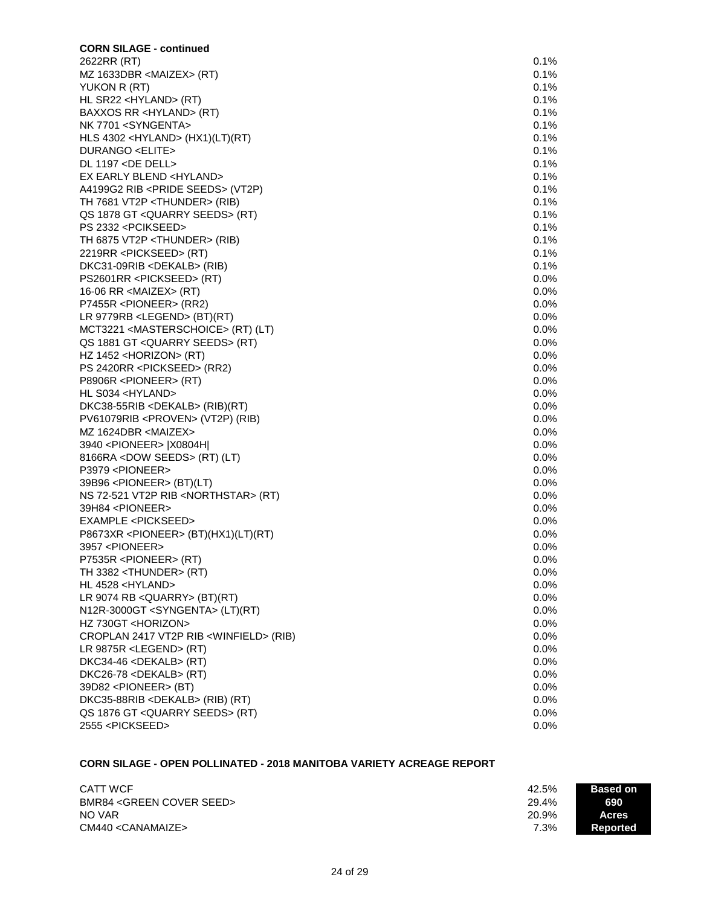| <b>CORN SILAGE - continued</b>                    |         |
|---------------------------------------------------|---------|
| 2622RR (RT)                                       | 0.1%    |
| MZ 1633DBR <maizex> (RT)</maizex>                 | 0.1%    |
| YUKON R (RT)                                      | 0.1%    |
| HL SR22 <hyland> (RT)</hyland>                    | 0.1%    |
| BAXXOS RR <hyland> (RT)</hyland>                  | 0.1%    |
| NK 7701 <syngenta></syngenta>                     | 0.1%    |
| HLS 4302 <hyland> (HX1)(LT)(RT)</hyland>          | 0.1%    |
| DURANGO <elite></elite>                           | 0.1%    |
| DL 1197 <de dell=""></de>                         | 0.1%    |
| EX EARLY BLEND <hyland></hyland>                  | 0.1%    |
| A4199G2 RIB <pride seeds=""> (VT2P)</pride>       | 0.1%    |
| TH 7681 VT2P <thunder> (RIB)</thunder>            | 0.1%    |
| QS 1878 GT < QUARRY SEEDS > (RT)                  | 0.1%    |
| PS 2332 <pcikseed></pcikseed>                     | 0.1%    |
| TH 6875 VT2P <thunder> (RIB)</thunder>            | 0.1%    |
| 2219RR <pickseed> (RT)</pickseed>                 | 0.1%    |
| DKC31-09RIB <dekalb> (RIB)</dekalb>               | 0.1%    |
| PS2601RR <pickseed> (RT)</pickseed>               | $0.0\%$ |
| 16-06 RR <maizex> (RT)</maizex>                   | $0.0\%$ |
| P7455R <pioneer> (RR2)</pioneer>                  | $0.0\%$ |
| LR 9779RB <legend> (BT)(RT)</legend>              | $0.0\%$ |
|                                                   | $0.0\%$ |
| MCT3221 <masterschoice> (RT) (LT)</masterschoice> |         |
| QS 1881 GT < QUARRY SEEDS > (RT)                  | 0.0%    |
| HZ $1452$ <horizon> (RT)</horizon>                | 0.0%    |
| PS 2420RR <pickseed> (RR2)</pickseed>             | $0.0\%$ |
| P8906R <pioneer> (RT)</pioneer>                   | $0.0\%$ |
| HL S034 <hyland></hyland>                         | 0.0%    |
| DKC38-55RIB <dekalb> (RIB)(RT)</dekalb>           | 0.0%    |
| PV61079RIB <proven> (VT2P) (RIB)</proven>         | $0.0\%$ |
| MZ 1624DBR <maizex></maizex>                      | 0.0%    |
| 3940 <pioneer>  X0804H </pioneer>                 | $0.0\%$ |
| 8166RA <dow seeds=""> (RT) (LT)</dow>             | $0.0\%$ |
| P3979 <pioneer></pioneer>                         | $0.0\%$ |
| 39B96 <pioneer> (BT)(LT)</pioneer>                | $0.0\%$ |
| NS 72-521 VT2P RIB <northstar> (RT)</northstar>   | $0.0\%$ |
| 39H84 <pioneer></pioneer>                         | $0.0\%$ |
| EXAMPLE <pickseed></pickseed>                     | $0.0\%$ |
| P8673XR <pioneer> (BT)(HX1)(LT)(RT)</pioneer>     | $0.0\%$ |
| 3957 <pioneer></pioneer>                          | $0.0\%$ |
| P7535R <pioneer> (RT)</pioneer>                   | 0.0%    |
| TH 3382 <thunder> (RT)</thunder>                  | $0.0\%$ |
| HL 4528 <hyland></hyland>                         | $0.0\%$ |
| LR 9074 RB < QUARRY> (BT)(RT)                     | 0.0%    |
| N12R-3000GT <syngenta> (LT)(RT)</syngenta>        | 0.0%    |
| HZ 730GT <horizon></horizon>                      | 0.0%    |
| CROPLAN 2417 VT2P RIB <winfield> (RIB)</winfield> | $0.0\%$ |
| LR 9875R <legend> <math>(RT)</math></legend>      | $0.0\%$ |
| DKC34-46 <dekalb> (RT)</dekalb>                   | 0.0%    |
| DKC26-78 <dekalb> (RT)</dekalb>                   | 0.0%    |
| 39D82 <pioneer> (BT)</pioneer>                    | 0.0%    |
| DKC35-88RIB <dekalb> (RIB) (RT)</dekalb>          | $0.0\%$ |
| QS 1876 GT < QUARRY SEEDS > (RT)                  | 0.0%    |
| 2555 <pickseed></pickseed>                        | $0.0\%$ |
|                                                   |         |

# **CORN SILAGE - OPEN POLLINATED - 2018 MANITOBA VARIETY ACREAGE REPORT**

| <b>CATT WCF</b>                        | 42.5% | <b>Based on</b> |
|----------------------------------------|-------|-----------------|
| BMR84 <green cover="" seed=""></green> | 29.4% | 690             |
| NO VAR                                 | 20.9% | <b>Acres</b>    |
| CM440 <canamaize></canamaize>          | 7.3%  | Reported        |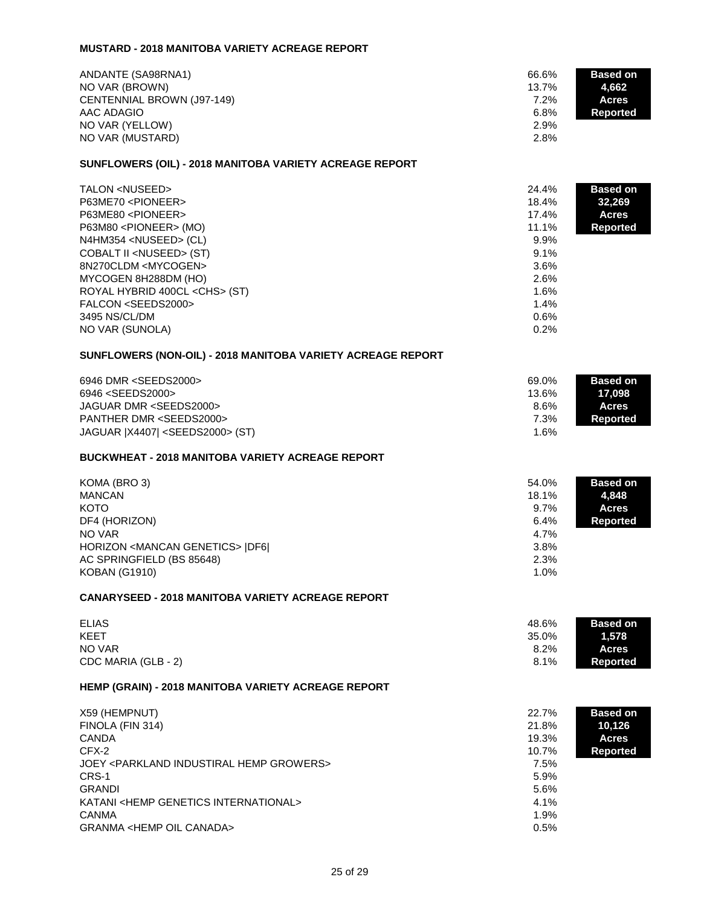# **MUSTARD - 2018 MANITOBA VARIETY ACREAGE REPORT**

| ANDANTE (SA98RNA1)<br>NO VAR (BROWN)<br>CENTENNIAL BROWN (J97-149)<br>AAC ADAGIO<br>NO VAR (YELLOW)<br>NO VAR (MUSTARD)<br>SUNFLOWERS (OIL) - 2018 MANITOBA VARIETY ACREAGE REPORT                                                                                                                                                                                              | 66.6%<br>13.7%<br>7.2%<br>6.8%<br>2.9%<br>2.8%                                                   | <b>Based on</b><br>4,662<br><b>Acres</b><br><b>Reported</b>  |
|---------------------------------------------------------------------------------------------------------------------------------------------------------------------------------------------------------------------------------------------------------------------------------------------------------------------------------------------------------------------------------|--------------------------------------------------------------------------------------------------|--------------------------------------------------------------|
|                                                                                                                                                                                                                                                                                                                                                                                 |                                                                                                  |                                                              |
| TALON <nuseed><br/>P63ME70 <pioneer><br/>P63ME80 <pioneer><br/>P63M80 <pioneer> (MO)<br/>N4HM354 <nuseed> (CL)<br/>COBALT II <nuseed> (ST)<br/>8N270CLDM <mycogen><br/>MYCOGEN 8H288DM (HO)<br/>ROYAL HYBRID 400CL <chs> (ST)<br/>FALCON <seeds2000><br/>3495 NS/CL/DM<br/>NO VAR (SUNOLA)</seeds2000></chs></mycogen></nuseed></nuseed></pioneer></pioneer></pioneer></nuseed> | 24.4%<br>18.4%<br>17.4%<br>11.1%<br>9.9%<br>9.1%<br>3.6%<br>2.6%<br>1.6%<br>1.4%<br>0.6%<br>0.2% | <b>Based on</b><br>32,269<br><b>Acres</b><br><b>Reported</b> |
| SUNFLOWERS (NON-OIL) - 2018 MANITOBA VARIETY ACREAGE REPORT                                                                                                                                                                                                                                                                                                                     |                                                                                                  |                                                              |
| 6946 DMR <seeds2000><br/>6946 <seeds2000><br/>JAGUAR DMR <seeds2000><br/>PANTHER DMR <seeds2000><br/>JAGUAR   X4407   <seeds2000> (ST)</seeds2000></seeds2000></seeds2000></seeds2000></seeds2000>                                                                                                                                                                              | 69.0%<br>13.6%<br>8.6%<br>7.3%<br>1.6%                                                           | <b>Based on</b><br>17,098<br><b>Acres</b><br><b>Reported</b> |
| <b>BUCKWHEAT - 2018 MANITOBA VARIETY ACREAGE REPORT</b>                                                                                                                                                                                                                                                                                                                         |                                                                                                  |                                                              |
| KOMA (BRO 3)<br><b>MANCAN</b><br><b>KOTO</b><br>DF4 (HORIZON)<br>NO VAR<br>HORIZON <mancan genetics="">  DF6 <br/>AC SPRINGFIELD (BS 85648)<br/><b>KOBAN (G1910)</b></mancan>                                                                                                                                                                                                   | 54.0%<br>18.1%<br>9.7%<br>6.4%<br>4.7%<br>3.8%<br>2.3%<br>1.0%                                   | <b>Based on</b><br>4,848<br><b>Acres</b><br><b>Reported</b>  |
| <b>CANARYSEED - 2018 MANITOBA VARIETY ACREAGE REPORT</b>                                                                                                                                                                                                                                                                                                                        |                                                                                                  |                                                              |
| <b>ELIAS</b><br><b>KEET</b><br>NO VAR<br>CDC MARIA (GLB - 2)                                                                                                                                                                                                                                                                                                                    | 48.6%<br>35.0%<br>8.2%<br>8.1%                                                                   | <b>Based on</b><br>1,578<br><b>Acres</b><br><b>Reported</b>  |
| HEMP (GRAIN) - 2018 MANITOBA VARIETY ACREAGE REPORT                                                                                                                                                                                                                                                                                                                             |                                                                                                  |                                                              |
| X59 (HEMPNUT)<br>FINOLA (FIN 314)<br><b>CANDA</b><br>CFX-2<br>JOEY <parkland growers="" hemp="" industiral=""><br/>CRS-1<br/><b>GRANDI</b><br/>KATANI <hemp genetics="" international=""><br/><b>CANMA</b><br/><b>GRANMA <hemp canada="" oil=""></hemp></b></hemp></parkland>                                                                                                   | 22.7%<br>21.8%<br>19.3%<br>10.7%<br>7.5%<br>5.9%<br>5.6%<br>4.1%<br>1.9%<br>0.5%                 | <b>Based on</b><br>10,126<br><b>Acres</b><br><b>Reported</b> |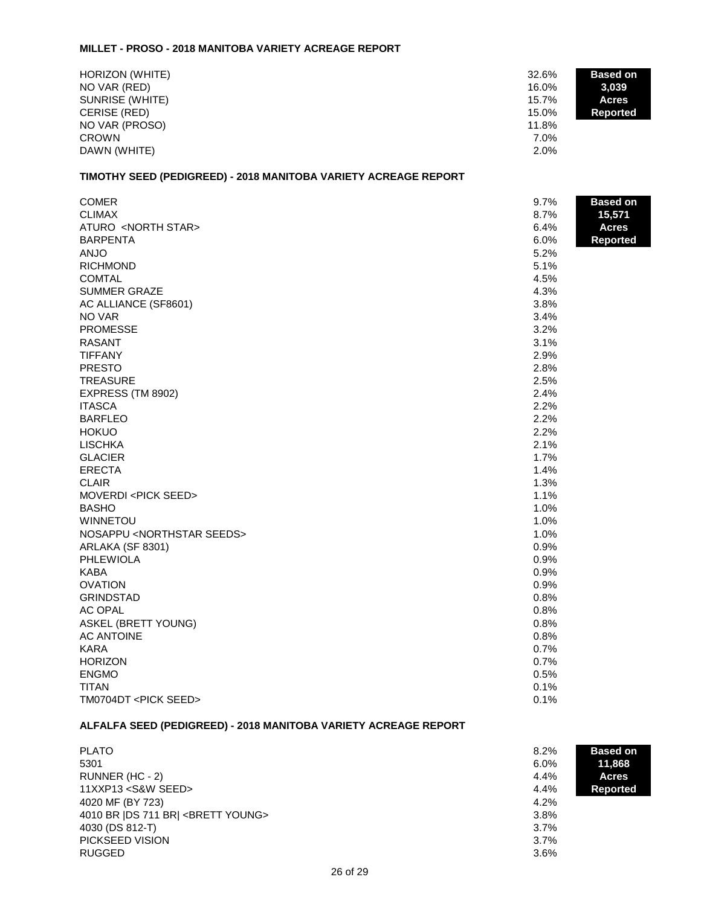## **MILLET - PROSO - 2018 MANITOBA VARIETY ACREAGE REPORT**

| HORIZON (WHITE)<br>NO VAR (RED)<br>SUNRISE (WHITE)<br>CERISE (RED)<br>NO VAR (PROSO)<br><b>CROWN</b> | 32.6%<br>16.0%<br>15.7%<br>15.0%<br>11.8%<br>7.0% | <b>Based on</b><br>3,039<br><b>Acres</b><br><b>Reported</b> |
|------------------------------------------------------------------------------------------------------|---------------------------------------------------|-------------------------------------------------------------|
| DAWN (WHITE)                                                                                         | 2.0%                                              |                                                             |

# **TIMOTHY SEED (PEDIGREED) - 2018 MANITOBA VARIETY ACREAGE REPORT**

| <b>COMER</b>                             | 9.7% | <b>Based on</b> |
|------------------------------------------|------|-----------------|
| <b>CLIMAX</b>                            | 8.7% | 15,571          |
| ATURO <north star=""></north>            | 6.4% | <b>Acres</b>    |
| <b>BARPENTA</b>                          | 6.0% | <b>Reported</b> |
| <b>ANJO</b>                              | 5.2% |                 |
| <b>RICHMOND</b>                          | 5.1% |                 |
| <b>COMTAL</b>                            | 4.5% |                 |
| <b>SUMMER GRAZE</b>                      | 4.3% |                 |
| AC ALLIANCE (SF8601)                     | 3.8% |                 |
| NO VAR                                   | 3.4% |                 |
| <b>PROMESSE</b>                          | 3.2% |                 |
| <b>RASANT</b>                            | 3.1% |                 |
| <b>TIFFANY</b>                           | 2.9% |                 |
| <b>PRESTO</b>                            | 2.8% |                 |
| <b>TREASURE</b>                          | 2.5% |                 |
| EXPRESS (TM 8902)                        | 2.4% |                 |
| <b>ITASCA</b>                            | 2.2% |                 |
| <b>BARFLEO</b>                           | 2.2% |                 |
| <b>HOKUO</b>                             | 2.2% |                 |
| <b>LISCHKA</b>                           | 2.1% |                 |
| <b>GLACIER</b>                           | 1.7% |                 |
| <b>ERECTA</b>                            | 1.4% |                 |
| <b>CLAIR</b>                             | 1.3% |                 |
| MOVERDI <pick seed=""></pick>            | 1.1% |                 |
| <b>BASHO</b>                             | 1.0% |                 |
| <b>WINNETOU</b>                          | 1.0% |                 |
| NOSAPPU <northstar seeds=""></northstar> | 1.0% |                 |
| ARLAKA (SF 8301)                         | 0.9% |                 |
| <b>PHLEWIOLA</b>                         | 0.9% |                 |
| KABA                                     | 0.9% |                 |
| <b>OVATION</b>                           | 0.9% |                 |
| <b>GRINDSTAD</b>                         | 0.8% |                 |
| <b>AC OPAL</b>                           | 0.8% |                 |
| <b>ASKEL (BRETT YOUNG)</b>               | 0.8% |                 |
| <b>AC ANTOINE</b>                        | 0.8% |                 |
| KARA                                     | 0.7% |                 |
| <b>HORIZON</b>                           | 0.7% |                 |
| <b>ENGMO</b>                             | 0.5% |                 |
| <b>TITAN</b>                             | 0.1% |                 |
| TM0704DT <pick seed=""></pick>           | 0.1% |                 |

# **ALFALFA SEED (PEDIGREED) - 2018 MANITOBA VARIETY ACREAGE REPORT**

| <b>PLATO</b><br>8.2%                                                | <b>Based on</b> |
|---------------------------------------------------------------------|-----------------|
| 5301<br>$6.0\%$                                                     | 11.868          |
| RUNNER (HC - 2)<br>4.4%                                             | <b>Acres</b>    |
| 11XXP13 <s&w seed=""><br/>4.4%</s&w>                                | <b>Reported</b> |
| 4020 MF (BY 723)<br>4.2%                                            |                 |
| 4010 BR IDS 711 BRI <brett young=""><br/><math>3.8\%</math></brett> |                 |
| 4030 (DS 812-T)<br>$3.7\%$                                          |                 |
| PICKSEED VISION<br>$3.7\%$                                          |                 |
| <b>RUGGED</b><br>3.6%                                               |                 |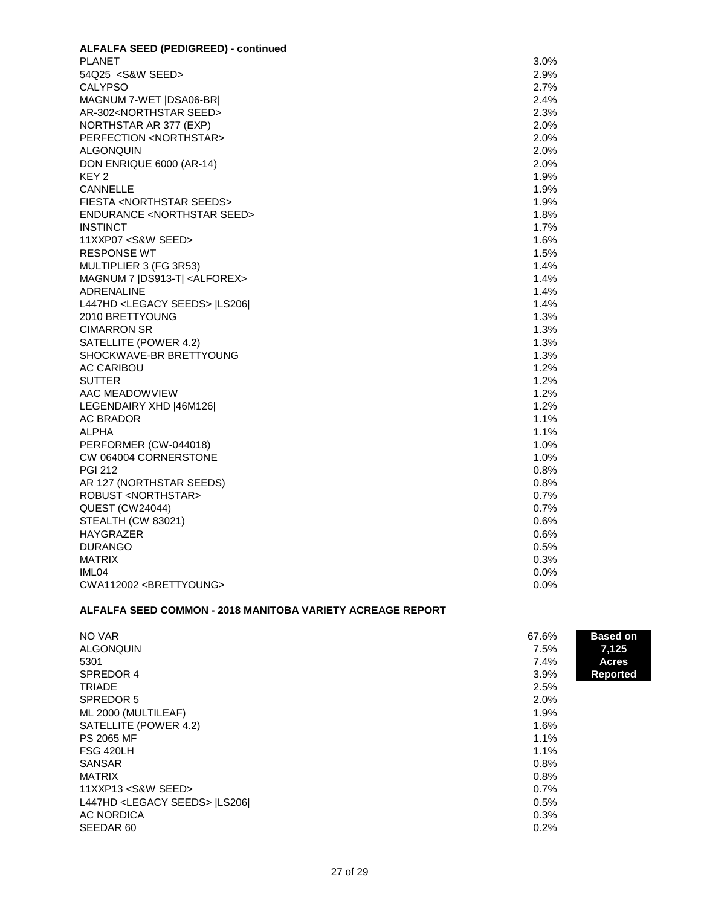| <b>ALFALFA SEED (PEDIGREED) - continued</b>      |         |
|--------------------------------------------------|---------|
| <b>PLANET</b>                                    | 3.0%    |
| 54Q25 < S& W SEED >                              | 2.9%    |
| <b>CALYPSO</b>                                   | 2.7%    |
| MAGNUM 7-WET   DSA06-BR                          | 2.4%    |
| AR-302 <northstar seed=""></northstar>           | 2.3%    |
| NORTHSTAR AR 377 (EXP)                           | 2.0%    |
| PERFECTION <northstar></northstar>               | 2.0%    |
| <b>ALGONQUIN</b>                                 | 2.0%    |
| DON ENRIQUE 6000 (AR-14)                         | 2.0%    |
| KEY <sub>2</sub>                                 | 1.9%    |
| <b>CANNELLE</b>                                  | 1.9%    |
| FIESTA <northstar seeds=""></northstar>          | 1.9%    |
| <b>ENDURANCE <northstar seed=""></northstar></b> | 1.8%    |
| <b>INSTINCT</b>                                  | 1.7%    |
| 11XXP07 < S& W SEED >                            | 1.6%    |
| <b>RESPONSE WT</b>                               | 1.5%    |
| MULTIPLIER 3 (FG 3R53)                           | $1.4\%$ |
| MAGNUM 7   DS913-T   < ALFOREX>                  | 1.4%    |
| <b>ADRENALINE</b>                                | 1.4%    |
| L447HD <legacy seeds="">  LS206 </legacy>        | 1.4%    |
| 2010 BRETTYOUNG                                  | 1.3%    |
| <b>CIMARRON SR</b>                               | 1.3%    |
| SATELLITE (POWER 4.2)                            | 1.3%    |
| SHOCKWAVE-BR BRETTYOUNG                          | 1.3%    |
| <b>AC CARIBOU</b>                                | 1.2%    |
| <b>SUTTER</b>                                    | 1.2%    |
| AAC MEADOWVIEW                                   | 1.2%    |
| LEGENDAIRY XHD [46M126]                          | 1.2%    |
| <b>AC BRADOR</b>                                 | 1.1%    |
| <b>ALPHA</b>                                     | 1.1%    |
| PERFORMER (CW-044018)                            | 1.0%    |
| CW 064004 CORNERSTONE                            | 1.0%    |
| <b>PGI 212</b>                                   | $0.8\%$ |
| AR 127 (NORTHSTAR SEEDS)                         | $0.8\%$ |
| <b>ROBUST <northstar></northstar></b>            | 0.7%    |
| <b>QUEST (CW24044)</b>                           | 0.7%    |
| STEALTH (CW 83021)                               | 0.6%    |
| HAYGRAZER                                        | $0.6\%$ |
| <b>DURANGO</b>                                   | 0.5%    |
| <b>MATRIX</b>                                    | 0.3%    |
| IML <sub>04</sub>                                | $0.0\%$ |
| CWA112002 <brettyoung></brettyoung>              | 0.0%    |

# **ALFALFA SEED COMMON - 2018 MANITOBA VARIETY ACREAGE REPORT**

| NO VAR<br>67.6%<br><b>ALGONQUIN</b><br>7.5%<br>5301<br>7.4%<br>SPREDOR 4<br>$3.9\%$<br><b>TRIADE</b><br>2.5%<br>SPREDOR 5<br>2.0%<br>ML 2000 (MULTILEAF)<br>1.9%<br>SATELLITE (POWER 4.2)<br>1.6%<br><b>PS 2065 MF</b><br>1.1%<br>FSG 420LH<br>1.1%<br><b>SANSAR</b><br>0.8%<br><b>MATRIX</b><br>0.8%<br>$11$ XXP $13$ < S&W SEED ><br>0.7%<br>L447HD <legacy seeds="">  LS206 <br/>0.5%</legacy> | <b>Based on</b><br>7,125<br><b>Acres</b><br><b>Reported</b> |
|---------------------------------------------------------------------------------------------------------------------------------------------------------------------------------------------------------------------------------------------------------------------------------------------------------------------------------------------------------------------------------------------------|-------------------------------------------------------------|
| AC NORDICA<br>0.3%<br>SEEDAR 60<br>0.2%                                                                                                                                                                                                                                                                                                                                                           |                                                             |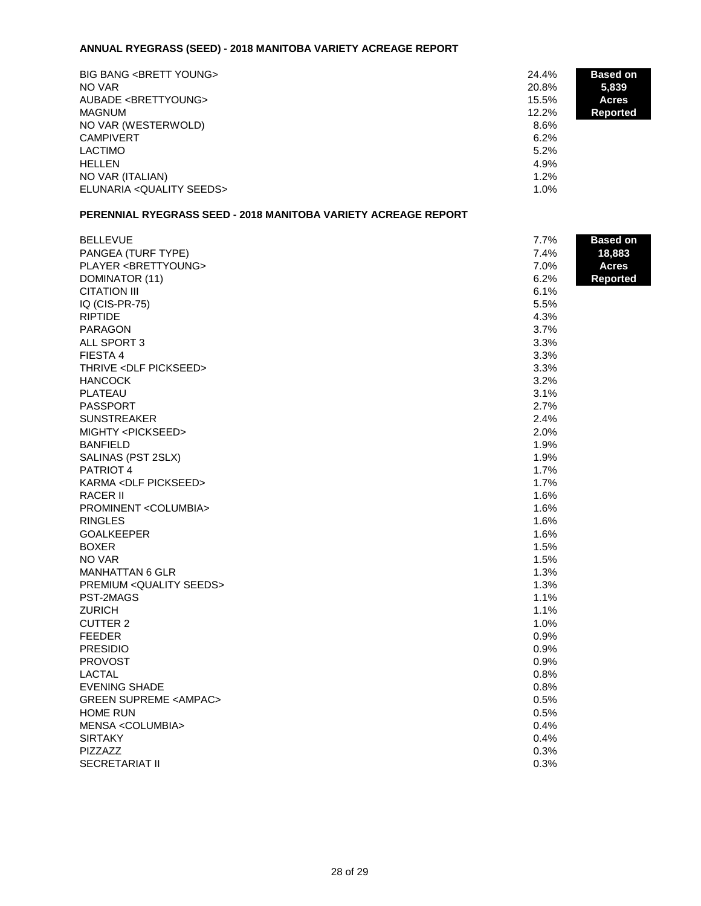# **ANNUAL RYEGRASS (SEED) - 2018 MANITOBA VARIETY ACREAGE REPORT**

| <b>BIG BANG <brett young=""></brett></b><br>NO VAR<br>AUBADE <brettyoung><br/><b>MAGNUM</b></brettyoung> | <b>Based on</b><br>24.4%<br>5,839<br>20.8%<br>15.5%<br><b>Acres</b><br>$12.2\%$ |  |
|----------------------------------------------------------------------------------------------------------|---------------------------------------------------------------------------------|--|
| NO VAR (WESTERWOLD)                                                                                      | <b>Reported</b><br>8.6%                                                         |  |
| <b>CAMPIVERT</b><br>LACTIMO                                                                              | 6.2%<br>5.2%                                                                    |  |
| <b>HELLEN</b><br>NO VAR (ITALIAN)                                                                        | 4.9%<br>$1.2\%$                                                                 |  |
| ELUNARIA < QUALITY SEEDS>                                                                                | 1.0%                                                                            |  |

### **PERENNIAL RYEGRASS SEED - 2018 MANITOBA VARIETY ACREAGE REPORT**

| <b>BELLEVUE</b>                             | 7.7% | <b>Based on</b> |
|---------------------------------------------|------|-----------------|
| PANGEA (TURF TYPE)                          | 7.4% | 18,883          |
| PLAYER <brettyoung></brettyoung>            | 7.0% | <b>Acres</b>    |
| DOMINATOR (11)                              | 6.2% | Reported        |
| <b>CITATION III</b>                         | 6.1% |                 |
| IQ (CIS-PR-75)                              | 5.5% |                 |
| <b>RIPTIDE</b>                              | 4.3% |                 |
| <b>PARAGON</b>                              | 3.7% |                 |
| ALL SPORT 3                                 | 3.3% |                 |
| FIESTA 4                                    | 3.3% |                 |
| THRIVE <dlf pickseed=""></dlf>              | 3.3% |                 |
| <b>HANCOCK</b>                              | 3.2% |                 |
| <b>PLATEAU</b>                              | 3.1% |                 |
| <b>PASSPORT</b>                             | 2.7% |                 |
| <b>SUNSTREAKER</b>                          | 2.4% |                 |
| MIGHTY <pickseed></pickseed>                | 2.0% |                 |
| <b>BANFIELD</b>                             | 1.9% |                 |
| SALINAS (PST 2SLX)                          | 1.9% |                 |
| PATRIOT 4                                   | 1.7% |                 |
| KARMA <dlf pickseed=""></dlf>               | 1.7% |                 |
| RACER II                                    | 1.6% |                 |
| PROMINENT <columbia></columbia>             | 1.6% |                 |
| <b>RINGLES</b>                              | 1.6% |                 |
| <b>GOALKEEPER</b>                           | 1.6% |                 |
| <b>BOXER</b>                                | 1.5% |                 |
| NO VAR                                      | 1.5% |                 |
| <b>MANHATTAN 6 GLR</b>                      | 1.3% |                 |
| <b>PREMIUM <quality seeds=""></quality></b> | 1.3% |                 |
| PST-2MAGS                                   | 1.1% |                 |
| <b>ZURICH</b>                               | 1.1% |                 |
| <b>CUTTER 2</b>                             | 1.0% |                 |
| <b>FEEDER</b>                               | 0.9% |                 |
| <b>PRESIDIO</b>                             | 0.9% |                 |
| <b>PROVOST</b>                              | 0.9% |                 |
| <b>LACTAL</b>                               | 0.8% |                 |
| <b>EVENING SHADE</b>                        | 0.8% |                 |
| <b>GREEN SUPREME <ampac></ampac></b>        | 0.5% |                 |
| <b>HOME RUN</b>                             | 0.5% |                 |
| MENSA <columbia></columbia>                 | 0.4% |                 |
| <b>SIRTAKY</b>                              | 0.4% |                 |
| <b>PIZZAZZ</b>                              | 0.3% |                 |
| <b>SECRETARIAT II</b>                       | 0.3% |                 |